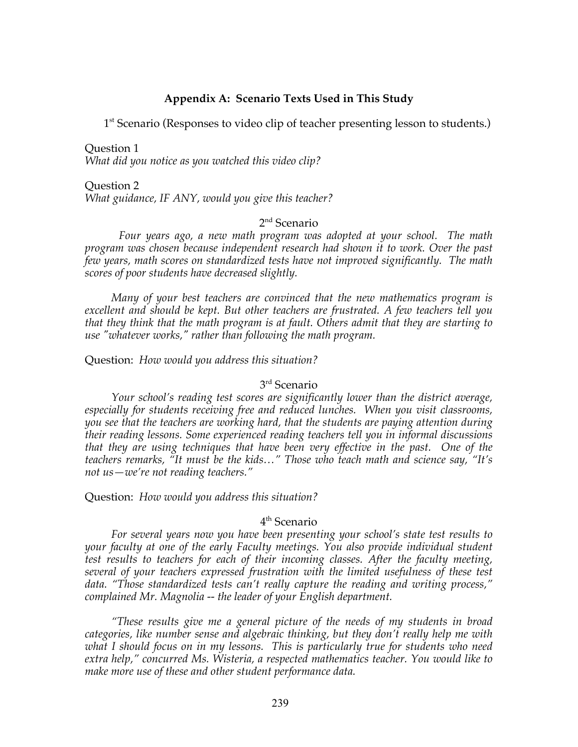### **Appendix A: Scenario Texts Used in This Study**

1<sup>st</sup> Scenario (Responses to video clip of teacher presenting lesson to students.)

Question 1 *What did you notice as you watched this video clip?*

Question 2 *What guidance, IF ANY, would you give this teacher?*

### 2<sup>nd</sup> Scenario

*Four years ago, a new math program was adopted at your school. The math program was chosen because independent research had shown it to work. Over the past few years, math scores on standardized tests have not improved significantly. The math scores of poor students have decreased slightly.*

*Many of your best teachers are convinced that the new mathematics program is excellent and should be kept. But other teachers are frustrated. A few teachers tell you that they think that the math program is at fault. Others admit that they are starting to use "whatever works," rather than following the math program.* 

Question: *How would you address this situation?*

### 3rd Scenario

*Your school's reading test scores are significantly lower than the district average, especially for students receiving free and reduced lunches. When you visit classrooms, you see that the teachers are working hard, that the students are paying attention during their reading lessons. Some experienced reading teachers tell you in informal discussions that they are using techniques that have been very effective in the past. One of the teachers remarks, "It must be the kids…" Those who teach math and science say, "It's not us—we're not reading teachers."*

Question: *How would you address this situation?*

### 4<sup>th</sup> Scenario

*For several years now you have been presenting your school's state test results to your faculty at one of the early Faculty meetings. You also provide individual student test results to teachers for each of their incoming classes. After the faculty meeting, several of your teachers expressed frustration with the limited usefulness of these test data. "Those standardized tests can't really capture the reading and writing process," complained Mr. Magnolia -- the leader of your English department.* 

*"These results give me a general picture of the needs of my students in broad categories, like number sense and algebraic thinking, but they don't really help me with what I should focus on in my lessons. This is particularly true for students who need extra help," concurred Ms. Wisteria, a respected mathematics teacher. You would like to make more use of these and other student performance data.*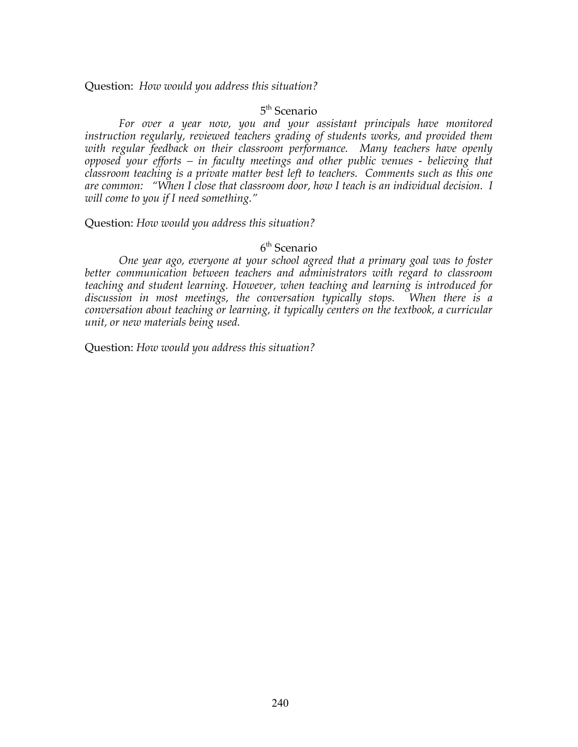Question: *How would you address this situation?*

### 5<sup>th</sup> Scenario

*For over a year now, you and your assistant principals have monitored instruction regularly, reviewed teachers grading of students works, and provided them*  with regular feedback on their classroom performance. Many teachers have openly *opposed your efforts – in faculty meetings and other public venues - believing that classroom teaching is a private matter best left to teachers. Comments such as this one are common: "When I close that classroom door, how I teach is an individual decision. I will come to you if I need something."* 

Question: *How would you address this situation?*

### 6th Scenario

*One year ago, everyone at your school agreed that a primary goal was to foster better communication between teachers and administrators with regard to classroom teaching and student learning. However, when teaching and learning is introduced for discussion in most meetings, the conversation typically stops. When there is a conversation about teaching or learning, it typically centers on the textbook, a curricular unit, or new materials being used.*

Question: *How would you address this situation?*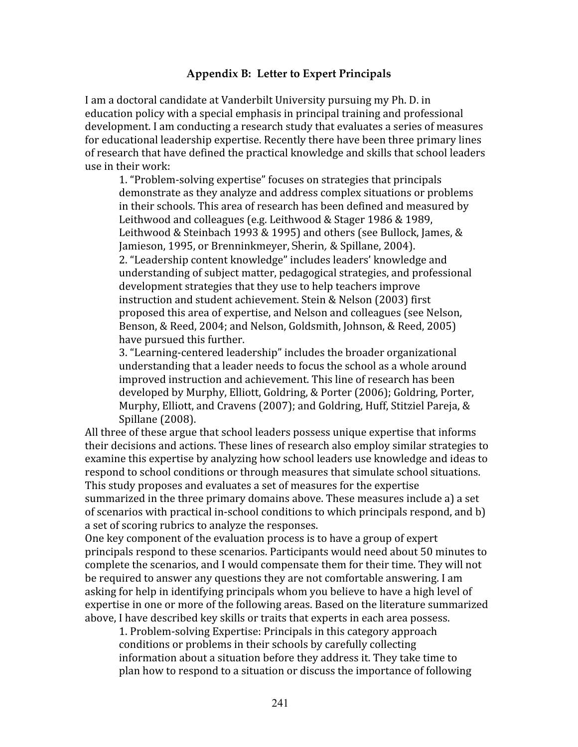# **Appendix B: Letter to Expert Principals**

I am a doctoral candidate at Vanderbilt University pursuing my Ph. D. in education
policy
with
a
special
emphasis
in
principal
training
and
professional development. I am conducting a research study that evaluates a series of measures for educational leadership expertise. Recently there have been three primary lines of
research
that
have
defined
the
practical
knowledge
and
skills
that
school
leaders use
in
their
work:

1.
"Problem‐solving
expertise"
focuses
on
strategies
that
principals demonstrate as they analyze and address complex situations or problems in
their
schools.
This
area
of
research
has
been
defined
and
measured
by Leithwood and colleagues (e.g. Leithwood & Stager 1986 & 1989, Leithwood & Steinbach 1993 & 1995) and others (see Bullock, James, & Jamieson,
1995,
or
Brenninkmeyer, Sherin, &
Spillane,
2004). 2.
"Leadership
content
knowledge"
includes
leaders'
knowledge
and understanding
of
subject
matter,
pedagogical
strategies,
and
professional development
strategies
that
they
use
to
help
teachers
improve instruction
and
student
achievement.
Stein
&
Nelson
(2003)
first proposed
this
area
of
expertise,
and
Nelson
and
colleagues
(see
Nelson, Benson, & Reed, 2004; and Nelson, Goldsmith, Johnson, & Reed, 2005) have
pursued
this
further.

3.
"Learning‐centered
leadership"
includes
the
broader
organizational understanding that a leader needs to focus the school as a whole around improved
instruction
and
achievement.
This
line
of
research
has
been developed by Murphy, Elliott, Goldring, & Porter (2006); Goldring, Porter, Murphy, Elliott, and Cravens (2007); and Goldring, Huff, Stitziel Pareja, & Spillane
(2008).

All three of these argue that school leaders possess unique expertise that informs their
decisions
and
actions.
These
lines
of
research
also
employ
similar
strategies
to examine this expertise by analyzing how school leaders use knowledge and ideas to respond
to
school
conditions
or
through
measures
that
simulate
school
situations. This
study
proposes
and
evaluates
a
set
of
measures
for
the
expertise summarized in the three primary domains above. These measures include a) a set of
scenarios
with
practical
in‐school
conditions
to
which
principals
respond,
and
b) a set of scoring rubrics to analyze the responses.

One key component of the evaluation process is to have a group of expert principals
respond
to
these
scenarios.
Participants
would
need
about
50
minutes
to complete
the
scenarios,
and
I
would
compensate
them
for
their
time.
They
will
not be required to answer any questions they are not comfortable answering. I am asking for help in identifying principals whom you believe to have a high level of expertise
in
one
or
more
of
the
following
areas.
Based
on
the
literature
summarized above,
I
have
described
key
skills
or
traits
that
experts
in
each
area
possess.

1.
Problem‐solving
Expertise:
Principals
in
this
category
approach conditions
or
problems
in
their
schools
by
carefully
collecting information about a situation before they address it. They take time to plan
how
to
respond
to
a
situation
or
discuss
the
importance
of
following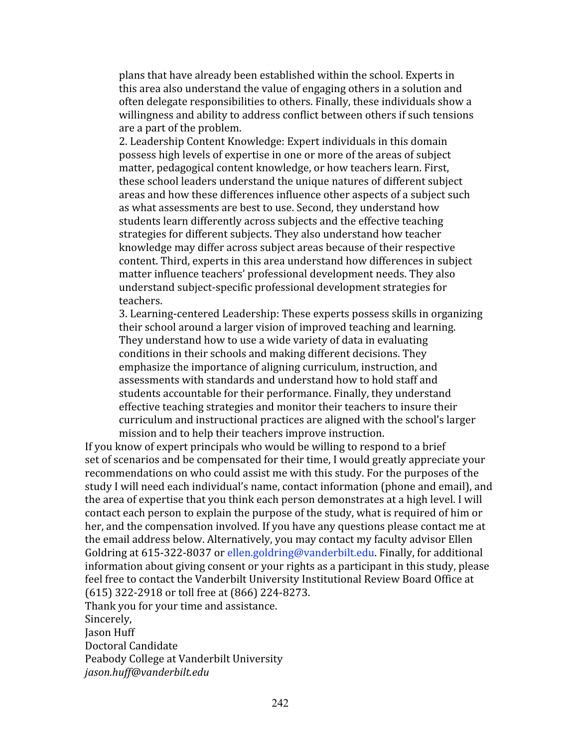plans
that
have
already
been
established
within
the
school.
Experts
in this
area
also
understand
the
value
of
engaging
others
in
a
solution
and often
delegate
responsibilities
to
others.
Finally,
these
individuals
show
a willingness and ability to address conflict between others if such tensions are
a
part
of
the
problem.

2.
Leadership
Content
Knowledge:
Expert
individuals
in
this
domain possess
high
levels
of
expertise
in
one
or
more
of
the
areas
of
subject matter,
pedagogical
content
knowledge,
or
how
teachers
learn.
First, these
school
leaders
understand
the
unique
natures
of
different
subject areas
and
how
these
differences
influence
other
aspects
of
a
subject
such as
what
assessments
are
best
to
use.
Second,
they
understand
how students
learn
differently
across
subjects
and
the
effective
teaching strategies
for
different
subjects.
They
also
understand
how
teacher knowledge
may
differ
across
subject
areas
because
of
their
respective content.
Third,
experts
in
this
area
understand
how
differences
in
subject matter
influence
teachers'
professional
development
needs.
They
also understand
subject‐specific
professional
development
strategies
for teachers.

3.
Learning‐centered
Leadership:
These
experts
possess
skills
in
organizing their
school
around
a
larger
vision
of
improved
teaching
and
learning. They understand how to use a wide variety of data in evaluating conditions
in
their
schools
and
making
different
decisions.
They emphasize
the
importance
of
aligning
curriculum,
instruction,
and assessments with standards and understand how to hold staff and students
accountable
for
their
performance.
Finally,
they
understand effective
teaching
strategies
and
monitor
their
teachers
to
insure
their curriculum
and
instructional
practices
are
aligned
with
the
school's
larger mission and to help their teachers improve instruction.

If you know of expert principals who would be willing to respond to a brief set of scenarios and be compensated for their time, I would greatly appreciate your recommendations on who could assist me with this study. For the purposes of the study
I
will
need
each
individual's
name,
contact
information
(phone
and
email),
and the area of expertise that you think each person demonstrates at a high level. I will contact
each
person
to
explain
the
purpose
of
the
study,
what
is
required
of
him
or her, and the compensation involved. If you have any questions please contact me at the
email
address
below.
Alternatively,
you
may
contact
my
faculty
advisor
Ellen Goldring at 615-322-8037 or ellen.goldring@vanderbilt.edu. Finally, for additional information about giving consent or your rights as a participant in this study, please feel free to contact the Vanderbilt University Institutional Review Board Office at (615)
322‐2918
or
toll
free
at
(866)
224‐8273. Thank
you
for
your
time
and
assistance. Sincerely, Jason
Huff Doctoral
Candidate Peabody
College
at
Vanderbilt
University *jason.huff@vanderbilt.edu*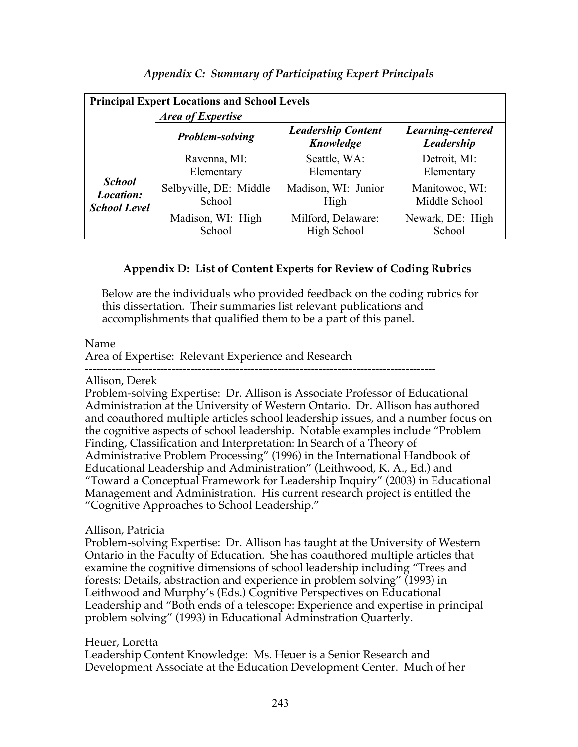|                                                          | <b>Principal Expert Locations and School Levels</b> |                                        |                                 |  |  |  |  |  |  |  |  |  |  |
|----------------------------------------------------------|-----------------------------------------------------|----------------------------------------|---------------------------------|--|--|--|--|--|--|--|--|--|--|
|                                                          | <b>Area of Expertise</b>                            |                                        |                                 |  |  |  |  |  |  |  |  |  |  |
|                                                          | <b>Problem-solving</b>                              | <b>Leadership Content</b><br>Knowledge | Learning-centered<br>Leadership |  |  |  |  |  |  |  |  |  |  |
| <b>School</b><br><i>Location:</i><br><b>School Level</b> | Ravenna, MI:<br>Elementary                          | Seattle, WA:<br>Elementary             | Detroit, MI:<br>Elementary      |  |  |  |  |  |  |  |  |  |  |
|                                                          | Selbyville, DE: Middle<br>School                    | Madison, WI: Junior<br>High            | Manitowoc, WI:<br>Middle School |  |  |  |  |  |  |  |  |  |  |
|                                                          | Madison, WI: High<br>School                         | Milford, Delaware:<br>High School      | Newark, DE: High<br>School      |  |  |  |  |  |  |  |  |  |  |

*Appendix C: Summary of Participating Expert Principals*

# **Appendix D: List of Content Experts for Review of Coding Rubrics**

Below are the individuals who provided feedback on the coding rubrics for this dissertation. Their summaries list relevant publications and accomplishments that qualified them to be a part of this panel.

Name

Area of Expertise: Relevant Experience and Research

**---------------------------------------------------------------------------------------------** Allison, Derek

Problem-solving Expertise: Dr. Allison is Associate Professor of Educational Administration at the University of Western Ontario. Dr. Allison has authored and coauthored multiple articles school leadership issues, and a number focus on the cognitive aspects of school leadership. Notable examples include "Problem Finding, Classification and Interpretation: In Search of a Theory of Administrative Problem Processing" (1996) in the International Handbook of Educational Leadership and Administration" (Leithwood, K. A., Ed.) and "Toward a Conceptual Framework for Leadership Inquiry" (2003) in Educational Management and Administration. His current research project is entitled the "Cognitive Approaches to School Leadership."

# Allison, Patricia

Problem-solving Expertise: Dr. Allison has taught at the University of Western Ontario in the Faculty of Education. She has coauthored multiple articles that examine the cognitive dimensions of school leadership including "Trees and forests: Details, abstraction and experience in problem solving" (1993) in Leithwood and Murphy's (Eds.) Cognitive Perspectives on Educational Leadership and "Both ends of a telescope: Experience and expertise in principal problem solving" (1993) in Educational Adminstration Quarterly.

Heuer, Loretta

Leadership Content Knowledge: Ms. Heuer is a Senior Research and Development Associate at the Education Development Center. Much of her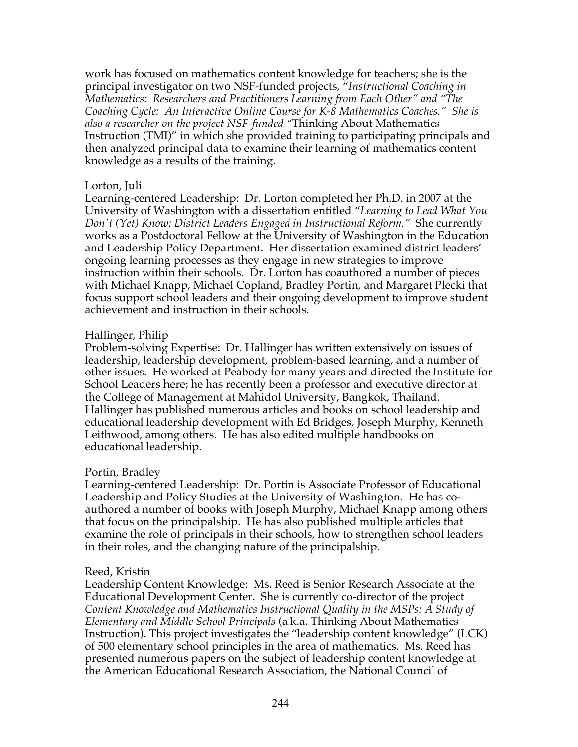work has focused on mathematics content knowledge for teachers; she is the principal investigator on two NSF-funded projects, "*Instructional Coaching in Mathematics: Researchers and Practitioners Learning from Each Other" and "The Coaching Cycle: An Interactive Online Course for K-8 Mathematics Coaches." She is also a researcher on the project NSF-funded "*Thinking About Mathematics Instruction (TMI)" in which she provided training to participating principals and then analyzed principal data to examine their learning of mathematics content knowledge as a results of the training.

## Lorton, Juli

Learning-centered Leadership: Dr. Lorton completed her Ph.D. in 2007 at the University of Washington with a dissertation entitled "*Learning to Lead What You Don't (Yet) Know: District Leaders Engaged in Instructional Reform."* She currently works as a Postdoctoral Fellow at the University of Washington in the Education and Leadership Policy Department. Her dissertation examined district leaders' ongoing learning processes as they engage in new strategies to improve instruction within their schools. Dr. Lorton has coauthored a number of pieces with Michael Knapp, Michael Copland, Bradley Portin, and Margaret Plecki that focus support school leaders and their ongoing development to improve student achievement and instruction in their schools.

### Hallinger, Philip

Problem-solving Expertise: Dr. Hallinger has written extensively on issues of leadership, leadership development, problem-based learning, and a number of other issues. He worked at Peabody for many years and directed the Institute for School Leaders here; he has recently been a professor and executive director at the College of Management at Mahidol University, Bangkok, Thailand. Hallinger has published numerous articles and books on school leadership and educational leadership development with Ed Bridges, Joseph Murphy, Kenneth Leithwood, among others. He has also edited multiple handbooks on educational leadership.

## Portin, Bradley

Learning-centered Leadership: Dr. Portin is Associate Professor of Educational Leadership and Policy Studies at the University of Washington. He has coauthored a number of books with Joseph Murphy, Michael Knapp among others that focus on the principalship. He has also published multiple articles that examine the role of principals in their schools, how to strengthen school leaders in their roles, and the changing nature of the principalship.

### Reed, Kristin

Leadership Content Knowledge: Ms. Reed is Senior Research Associate at the Educational Development Center. She is currently co-director of the project *Content Knowledge and Mathematics Instructional Quality in the MSPs: A Study of Elementary and Middle School Principals* (a.k.a. Thinking About Mathematics Instruction). This project investigates the "leadership content knowledge" (LCK) of 500 elementary school principles in the area of mathematics. Ms. Reed has presented numerous papers on the subject of leadership content knowledge at the American Educational Research Association, the National Council of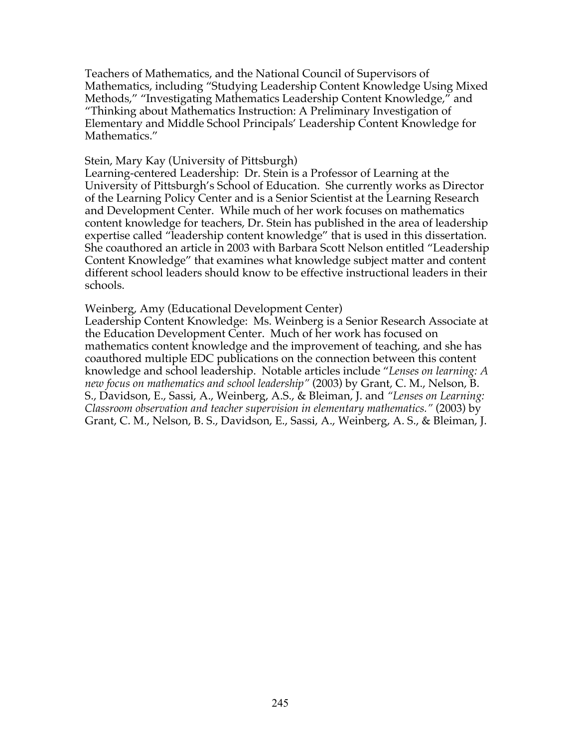Teachers of Mathematics, and the National Council of Supervisors of Mathematics, including "Studying Leadership Content Knowledge Using Mixed Methods," "Investigating Mathematics Leadership Content Knowledge," and "Thinking about Mathematics Instruction: A Preliminary Investigation of Elementary and Middle School Principals' Leadership Content Knowledge for Mathematics."

### Stein, Mary Kay (University of Pittsburgh)

Learning-centered Leadership: Dr. Stein is a Professor of Learning at the University of Pittsburgh's School of Education. She currently works as Director of the Learning Policy Center and is a Senior Scientist at the Learning Research and Development Center. While much of her work focuses on mathematics content knowledge for teachers, Dr. Stein has published in the area of leadership expertise called "leadership content knowledge" that is used in this dissertation. She coauthored an article in 2003 with Barbara Scott Nelson entitled "Leadership Content Knowledge" that examines what knowledge subject matter and content different school leaders should know to be effective instructional leaders in their schools.

### Weinberg, Amy (Educational Development Center)

Leadership Content Knowledge: Ms. Weinberg is a Senior Research Associate at the Education Development Center. Much of her work has focused on mathematics content knowledge and the improvement of teaching, and she has coauthored multiple EDC publications on the connection between this content knowledge and school leadership. Notable articles include "*Lenses on learning: A new focus on mathematics and school leadership"* (2003) by Grant, C. M., Nelson, B. S., Davidson, E., Sassi, A., Weinberg, A.S., & Bleiman, J. and *"Lenses on Learning: Classroom observation and teacher supervision in elementary mathematics."* (2003) by Grant, C. M., Nelson, B. S., Davidson, E., Sassi, A., Weinberg, A. S., & Bleiman, J.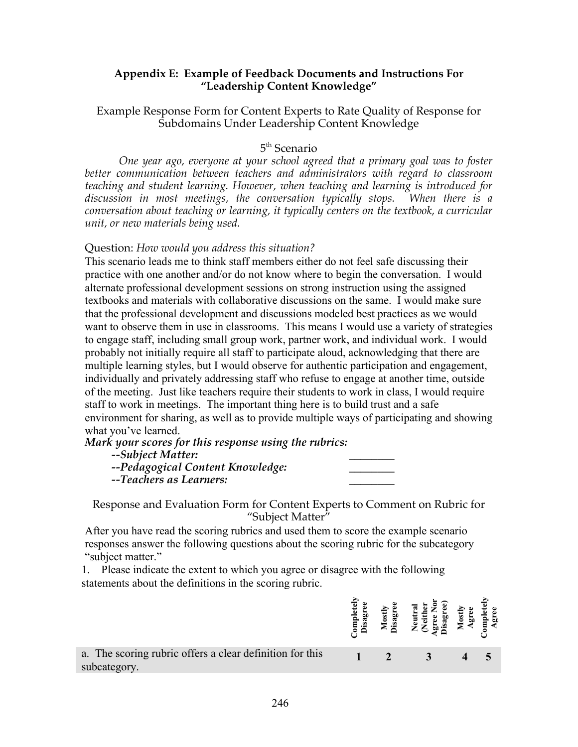### **Appendix E: Example of Feedback Documents and Instructions For "Leadership Content Knowledge"**

## Example Response Form for Content Experts to Rate Quality of Response for Subdomains Under Leadership Content Knowledge

# 5<sup>th</sup> Scenario

*One year ago, everyone at your school agreed that a primary goal was to foster better communication between teachers and administrators with regard to classroom teaching and student learning. However, when teaching and learning is introduced for discussion in most meetings, the conversation typically stops. When there is a conversation about teaching or learning, it typically centers on the textbook, a curricular unit, or new materials being used.*

### Question: *How would you address this situation?*

This scenario leads me to think staff members either do not feel safe discussing their practice with one another and/or do not know where to begin the conversation. I would alternate professional development sessions on strong instruction using the assigned textbooks and materials with collaborative discussions on the same. I would make sure that the professional development and discussions modeled best practices as we would want to observe them in use in classrooms. This means I would use a variety of strategies to engage staff, including small group work, partner work, and individual work. I would probably not initially require all staff to participate aloud, acknowledging that there are multiple learning styles, but I would observe for authentic participation and engagement, individually and privately addressing staff who refuse to engage at another time, outside of the meeting. Just like teachers require their students to work in class, I would require staff to work in meetings. The important thing here is to build trust and a safe environment for sharing, as well as to provide multiple ways of participating and showing what you've learned.

*Mark your scores for this response using the rubrics:*

# *--Subject Matter: \_\_\_\_\_\_\_\_*

*--Pedagogical Content Knowledge: \_\_\_\_\_\_\_\_*

*--Teachers as Learners: \_\_\_\_\_\_\_\_*

Response and Evaluation Form for Content Experts to Comment on Rubric for "Subject Matter"

After you have read the scoring rubrics and used them to score the example scenario responses answer the following questions about the scoring rubric for the subcategory "subject matter."

1. Please indicate the extent to which you agree or disagree with the following statements about the definitions in the scoring rubric.

|                                                                          | ਵ<br>lqmo<br>Disa | Mostl<br>isagr | 2g<br>ه | ទី ឆ្ន | ng<br>Agr |
|--------------------------------------------------------------------------|-------------------|----------------|---------|--------|-----------|
| a. The scoring rubric offers a clear definition for this<br>subcategory. |                   |                |         |        |           |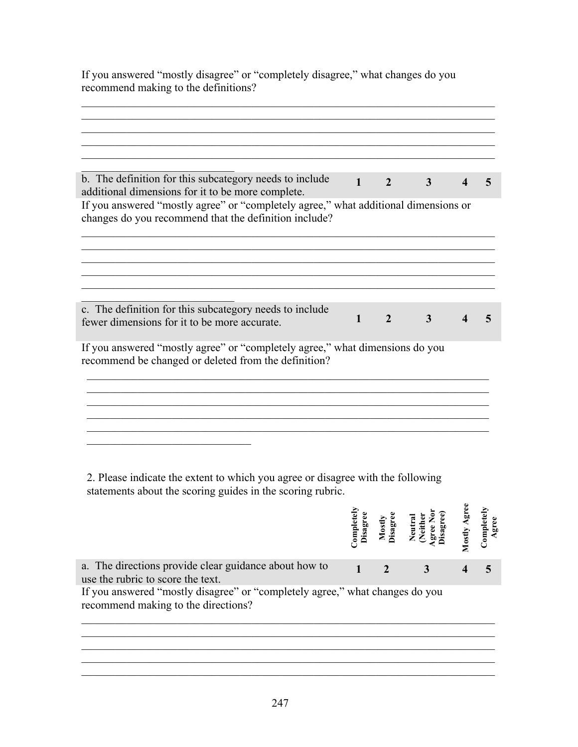If you answered "mostly disagree" or "completely disagree," what changes do you recommend making to the definitions?

| b. The definition for this subcategory needs to include<br>additional dimensions for it to be more complete.                                 | $\mathbf{1}$ | $\mathfrak{D}$ | 3 |  |
|----------------------------------------------------------------------------------------------------------------------------------------------|--------------|----------------|---|--|
| If you answered "mostly agree" or "completely agree," what additional dimensions or<br>changes do you recommend that the definition include? |              |                |   |  |
|                                                                                                                                              |              |                |   |  |
|                                                                                                                                              |              |                |   |  |
| c. The definition for this subcategory needs to include<br>fewer dimensions for it to be more accurate.                                      | $\mathbf{1}$ | $\overline{2}$ | 3 |  |
| If you answered "mostly agree" or "completely agree," what dimensions do you<br>recommend be changed or deleted from the definition?         |              |                |   |  |
|                                                                                                                                              |              |                |   |  |
|                                                                                                                                              |              |                |   |  |
|                                                                                                                                              |              |                |   |  |

2. Please indicate the extent to which you agree or disagree with the following statements about the scoring guides in the scoring rubric.

|                                                                                                                                                                                                                   | $\log$<br>Disag | Mostl;<br>isagı | Mostly | Compl |
|-------------------------------------------------------------------------------------------------------------------------------------------------------------------------------------------------------------------|-----------------|-----------------|--------|-------|
| a. The directions provide clear guidance about how to<br>use the rubric to score the text.<br>If you answered "mostly disagree" or "completely agree," what changes do you<br>recommend making to the directions? |                 | $\mathcal{D}$   |        |       |
|                                                                                                                                                                                                                   |                 |                 |        |       |

 $\mathcal{L}_\text{max} = \mathcal{L}_\text{max} = \mathcal{L}_\text{max} = \mathcal{L}_\text{max} = \mathcal{L}_\text{max} = \mathcal{L}_\text{max} = \mathcal{L}_\text{max} = \mathcal{L}_\text{max} = \mathcal{L}_\text{max} = \mathcal{L}_\text{max} = \mathcal{L}_\text{max} = \mathcal{L}_\text{max} = \mathcal{L}_\text{max} = \mathcal{L}_\text{max} = \mathcal{L}_\text{max} = \mathcal{L}_\text{max} = \mathcal{L}_\text{max} = \mathcal{L}_\text{max} = \mathcal{$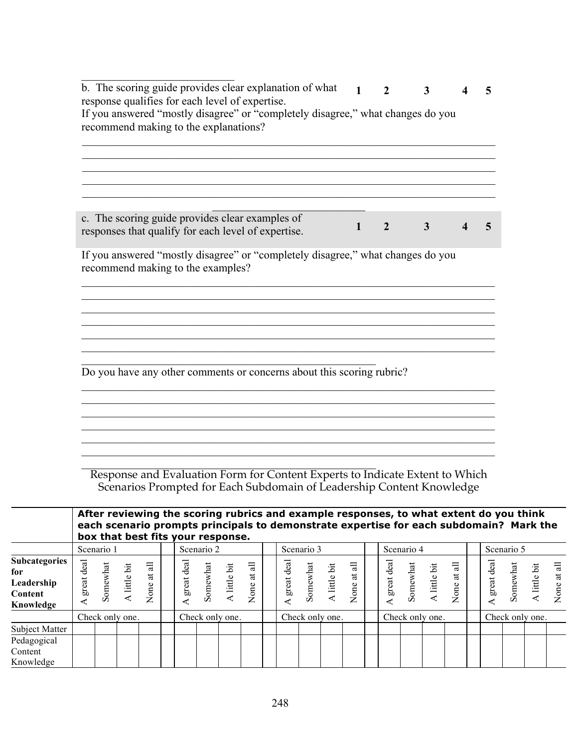| response qualifies for each level of expertise.                                                        | b. The scoring guide provides clear explanation of what<br>If you answered "mostly disagree" or "completely disagree," what changes do you | $\mathbf{1}$ | $\mathbf{2}$   | 3 |  |
|--------------------------------------------------------------------------------------------------------|--------------------------------------------------------------------------------------------------------------------------------------------|--------------|----------------|---|--|
| recommend making to the explanations?                                                                  |                                                                                                                                            |              |                |   |  |
|                                                                                                        |                                                                                                                                            |              |                |   |  |
|                                                                                                        |                                                                                                                                            |              |                |   |  |
|                                                                                                        |                                                                                                                                            |              |                |   |  |
|                                                                                                        |                                                                                                                                            |              |                |   |  |
| c. The scoring guide provides clear examples of<br>responses that qualify for each level of expertise. |                                                                                                                                            | 1            | $\overline{2}$ | 3 |  |
|                                                                                                        |                                                                                                                                            |              |                |   |  |
|                                                                                                        | If you answered "mostly disagree" or "completely disagree," what changes do you                                                            |              |                |   |  |
| recommend making to the examples?                                                                      |                                                                                                                                            |              |                |   |  |
|                                                                                                        |                                                                                                                                            |              |                |   |  |
|                                                                                                        |                                                                                                                                            |              |                |   |  |
|                                                                                                        |                                                                                                                                            |              |                |   |  |
|                                                                                                        |                                                                                                                                            |              |                |   |  |
|                                                                                                        |                                                                                                                                            |              |                |   |  |
|                                                                                                        |                                                                                                                                            |              |                |   |  |
|                                                                                                        | Do you have any other comments or concerns about this scoring rubric?                                                                      |              |                |   |  |
|                                                                                                        |                                                                                                                                            |              |                |   |  |
|                                                                                                        |                                                                                                                                            |              |                |   |  |
|                                                                                                        |                                                                                                                                            |              |                |   |  |
|                                                                                                        |                                                                                                                                            |              |                |   |  |

|                                                                          |            | After reviewing the scoring rubrics and example responses, to what extent do you think<br>each scenario prompts principals to demonstrate expertise for each subdomain? Mark the<br>box that best fits your response. |                          |                             |  |            |                          |                 |                                              |  |            |                 |            |                          |                 |  |                                          |  |                                      |  |                 |                 |              |                                              |
|--------------------------------------------------------------------------|------------|-----------------------------------------------------------------------------------------------------------------------------------------------------------------------------------------------------------------------|--------------------------|-----------------------------|--|------------|--------------------------|-----------------|----------------------------------------------|--|------------|-----------------|------------|--------------------------|-----------------|--|------------------------------------------|--|--------------------------------------|--|-----------------|-----------------|--------------|----------------------------------------------|
|                                                                          |            | Scenario 1                                                                                                                                                                                                            |                          |                             |  |            | Scenario 2               |                 |                                              |  |            | Scenario 3      |            |                          |                 |  | Scenario 4                               |  |                                      |  |                 | Scenario 5      |              |                                              |
| <b>Subcategories</b><br>for<br>Leadership<br><b>Content</b><br>Knowledge | great deal |                                                                                                                                                                                                                       | Somewhat<br>A little bit | $\overline{a}$<br>None at a |  | great deal | Somewhat<br>A little bit |                 | $\Xi$<br>$\overline{\overline{a}}$<br>None a |  | great deal | Somewhat        | little bit | 급<br>$\ddot{a}$<br>None: |                 |  | A great deal<br>Somewhat<br>A little bit |  | $\overline{a}$<br>$\ddot{a}$<br>None |  | great deal      | <b>iomewhat</b> | A little bit | $\equiv$<br>$\overline{\mathrm{a}}$<br>None: |
|                                                                          |            |                                                                                                                                                                                                                       | Check only one.          |                             |  |            |                          | Check only one. |                                              |  |            | Check only one. |            |                          | Check only one. |  |                                          |  |                                      |  | Check only one. |                 |              |                                              |
| Subject Matter                                                           |            |                                                                                                                                                                                                                       |                          |                             |  |            |                          |                 |                                              |  |            |                 |            |                          |                 |  |                                          |  |                                      |  |                 |                 |              |                                              |
| Pedagogical<br>Content<br>Knowledge                                      |            |                                                                                                                                                                                                                       |                          |                             |  |            |                          |                 |                                              |  |            |                 |            |                          |                 |  |                                          |  |                                      |  |                 |                 |              |                                              |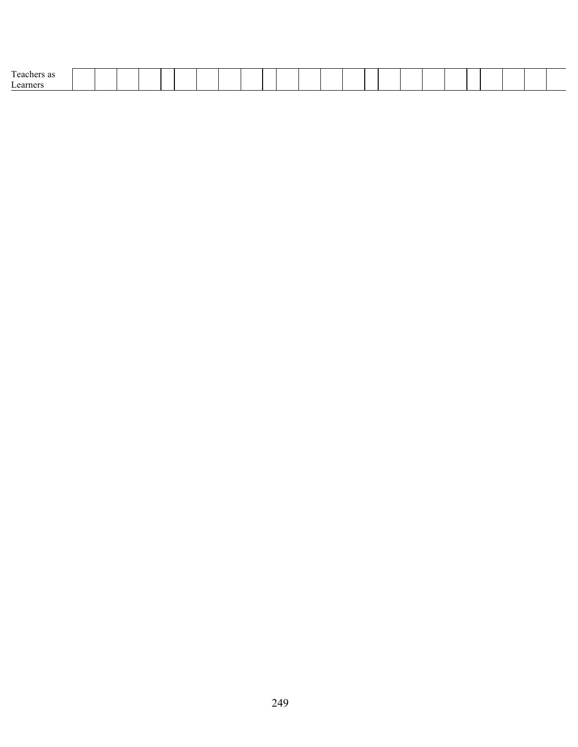| $\sim$ |  |  |  |  |  |  |  |  |  |  |  |  |
|--------|--|--|--|--|--|--|--|--|--|--|--|--|
| earner |  |  |  |  |  |  |  |  |  |  |  |  |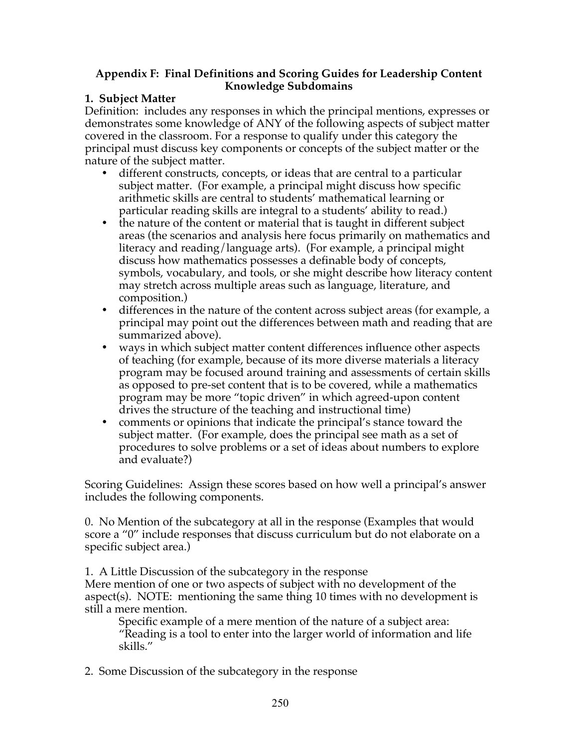## **Appendix F: Final Definitions and Scoring Guides for Leadership Content Knowledge Subdomains**

## **1. Subject Matter**

Definition: includes any responses in which the principal mentions, expresses or demonstrates some knowledge of ANY of the following aspects of subject matter covered in the classroom. For a response to qualify under this category the principal must discuss key components or concepts of the subject matter or the nature of the subject matter.

- different constructs, concepts, or ideas that are central to a particular subject matter. (For example, a principal might discuss how specific arithmetic skills are central to students' mathematical learning or particular reading skills are integral to a students' ability to read.)
- the nature of the content or material that is taught in different subject areas (the scenarios and analysis here focus primarily on mathematics and literacy and reading/language arts). (For example, a principal might discuss how mathematics possesses a definable body of concepts, symbols, vocabulary, and tools, or she might describe how literacy content may stretch across multiple areas such as language, literature, and composition.)
- differences in the nature of the content across subject areas (for example, a principal may point out the differences between math and reading that are summarized above).
- ways in which subject matter content differences influence other aspects of teaching (for example, because of its more diverse materials a literacy program may be focused around training and assessments of certain skills as opposed to pre-set content that is to be covered, while a mathematics program may be more "topic driven" in which agreed-upon content drives the structure of the teaching and instructional time)
- comments or opinions that indicate the principal's stance toward the subject matter. (For example, does the principal see math as a set of procedures to solve problems or a set of ideas about numbers to explore and evaluate?)

Scoring Guidelines: Assign these scores based on how well a principal's answer includes the following components.

0. No Mention of the subcategory at all in the response (Examples that would score a "0" include responses that discuss curriculum but do not elaborate on a specific subject area.)

1. A Little Discussion of the subcategory in the response Mere mention of one or two aspects of subject with no development of the aspect(s). NOTE: mentioning the same thing 10 times with no development is still a mere mention.

Specific example of a mere mention of the nature of a subject area: "Reading is a tool to enter into the larger world of information and life skills."

2. Some Discussion of the subcategory in the response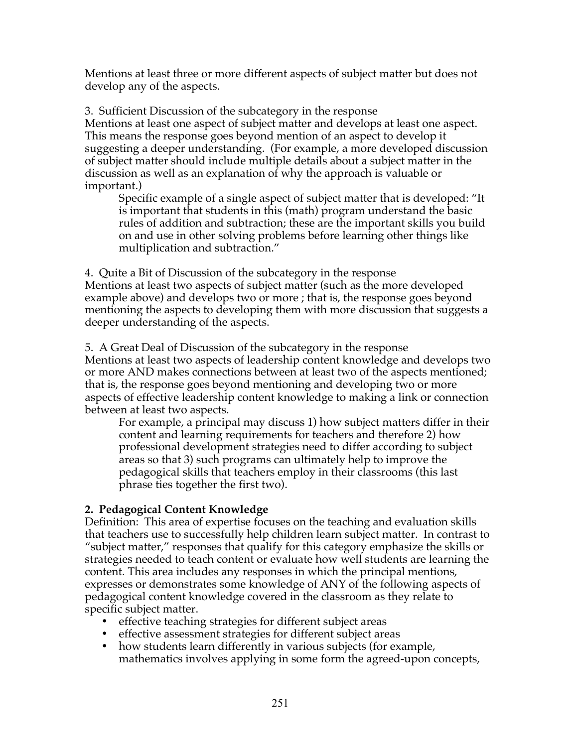Mentions at least three or more different aspects of subject matter but does not develop any of the aspects.

3. Sufficient Discussion of the subcategory in the response Mentions at least one aspect of subject matter and develops at least one aspect. This means the response goes beyond mention of an aspect to develop it suggesting a deeper understanding. (For example, a more developed discussion of subject matter should include multiple details about a subject matter in the discussion as well as an explanation of why the approach is valuable or important.)

Specific example of a single aspect of subject matter that is developed: "It is important that students in this (math) program understand the basic rules of addition and subtraction; these are the important skills you build on and use in other solving problems before learning other things like multiplication and subtraction."

4. Quite a Bit of Discussion of the subcategory in the response Mentions at least two aspects of subject matter (such as the more developed example above) and develops two or more ; that is, the response goes beyond mentioning the aspects to developing them with more discussion that suggests a deeper understanding of the aspects.

5. A Great Deal of Discussion of the subcategory in the response Mentions at least two aspects of leadership content knowledge and develops two or more AND makes connections between at least two of the aspects mentioned; that is, the response goes beyond mentioning and developing two or more aspects of effective leadership content knowledge to making a link or connection between at least two aspects.

For example, a principal may discuss 1) how subject matters differ in their content and learning requirements for teachers and therefore 2) how professional development strategies need to differ according to subject areas so that 3) such programs can ultimately help to improve the pedagogical skills that teachers employ in their classrooms (this last phrase ties together the first two).

# **2. Pedagogical Content Knowledge**

Definition: This area of expertise focuses on the teaching and evaluation skills that teachers use to successfully help children learn subject matter. In contrast to "subject matter," responses that qualify for this category emphasize the skills or strategies needed to teach content or evaluate how well students are learning the content. This area includes any responses in which the principal mentions, expresses or demonstrates some knowledge of ANY of the following aspects of pedagogical content knowledge covered in the classroom as they relate to specific subject matter.

- effective teaching strategies for different subject areas
- effective assessment strategies for different subject areas
- how students learn differently in various subjects (for example, mathematics involves applying in some form the agreed-upon concepts,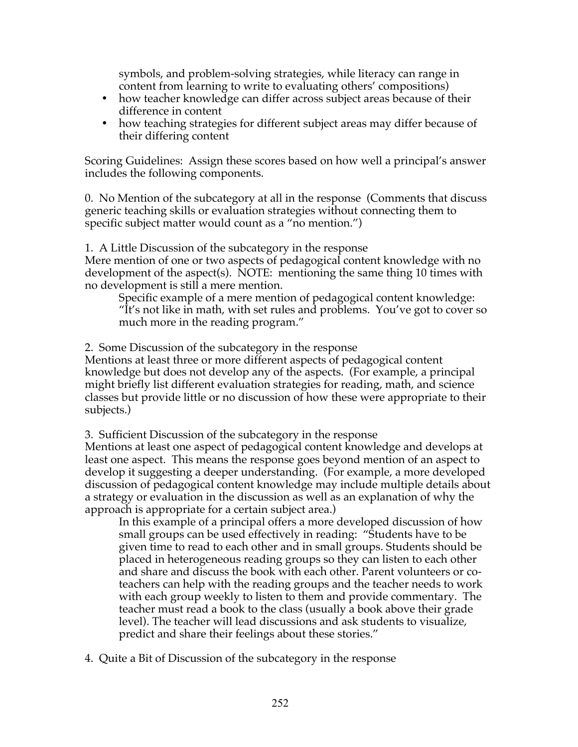symbols, and problem-solving strategies, while literacy can range in content from learning to write to evaluating others' compositions)

- how teacher knowledge can differ across subject areas because of their difference in content
- how teaching strategies for different subject areas may differ because of their differing content

Scoring Guidelines: Assign these scores based on how well a principal's answer includes the following components.

0. No Mention of the subcategory at all in the response (Comments that discuss generic teaching skills or evaluation strategies without connecting them to specific subject matter would count as a "no mention.")

1. A Little Discussion of the subcategory in the response Mere mention of one or two aspects of pedagogical content knowledge with no development of the aspect(s). NOTE: mentioning the same thing 10 times with no development is still a mere mention.

Specific example of a mere mention of pedagogical content knowledge: "It's not like in math, with set rules and problems. You've got to cover so much more in the reading program."

2. Some Discussion of the subcategory in the response

Mentions at least three or more different aspects of pedagogical content knowledge but does not develop any of the aspects. (For example, a principal might briefly list different evaluation strategies for reading, math, and science classes but provide little or no discussion of how these were appropriate to their subjects.)

3. Sufficient Discussion of the subcategory in the response

Mentions at least one aspect of pedagogical content knowledge and develops at least one aspect. This means the response goes beyond mention of an aspect to develop it suggesting a deeper understanding. (For example, a more developed discussion of pedagogical content knowledge may include multiple details about a strategy or evaluation in the discussion as well as an explanation of why the approach is appropriate for a certain subject area.)

In this example of a principal offers a more developed discussion of how small groups can be used effectively in reading: "Students have to be given time to read to each other and in small groups. Students should be placed in heterogeneous reading groups so they can listen to each other and share and discuss the book with each other. Parent volunteers or coteachers can help with the reading groups and the teacher needs to work with each group weekly to listen to them and provide commentary. The teacher must read a book to the class (usually a book above their grade level). The teacher will lead discussions and ask students to visualize, predict and share their feelings about these stories."

4. Quite a Bit of Discussion of the subcategory in the response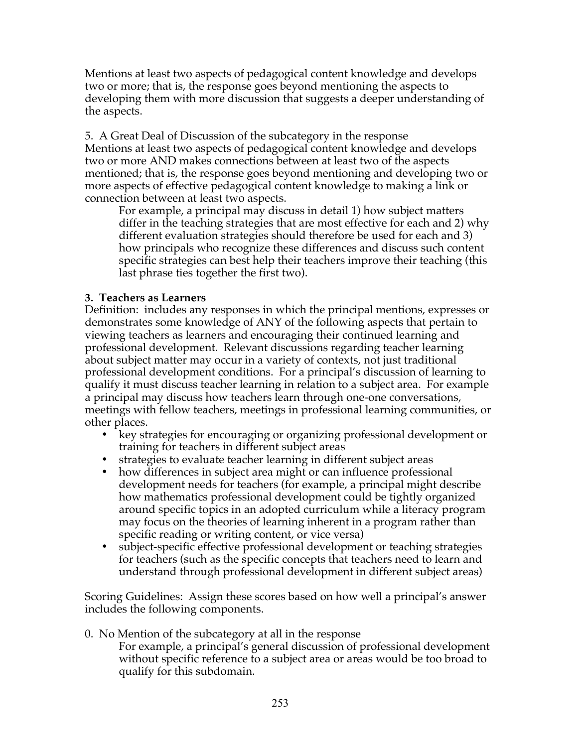Mentions at least two aspects of pedagogical content knowledge and develops two or more; that is, the response goes beyond mentioning the aspects to developing them with more discussion that suggests a deeper understanding of the aspects.

5. A Great Deal of Discussion of the subcategory in the response Mentions at least two aspects of pedagogical content knowledge and develops two or more AND makes connections between at least two of the aspects mentioned; that is, the response goes beyond mentioning and developing two or more aspects of effective pedagogical content knowledge to making a link or connection between at least two aspects.

For example, a principal may discuss in detail 1) how subject matters differ in the teaching strategies that are most effective for each and 2) why different evaluation strategies should therefore be used for each and 3) how principals who recognize these differences and discuss such content specific strategies can best help their teachers improve their teaching (this last phrase ties together the first two).

### **3. Teachers as Learners**

Definition: includes any responses in which the principal mentions, expresses or demonstrates some knowledge of ANY of the following aspects that pertain to viewing teachers as learners and encouraging their continued learning and professional development. Relevant discussions regarding teacher learning about subject matter may occur in a variety of contexts, not just traditional professional development conditions. For a principal's discussion of learning to qualify it must discuss teacher learning in relation to a subject area. For example a principal may discuss how teachers learn through one-one conversations, meetings with fellow teachers, meetings in professional learning communities, or other places.

- key strategies for encouraging or organizing professional development or training for teachers in different subject areas
- strategies to evaluate teacher learning in different subject areas
- how differences in subject area might or can influence professional development needs for teachers (for example, a principal might describe how mathematics professional development could be tightly organized around specific topics in an adopted curriculum while a literacy program may focus on the theories of learning inherent in a program rather than specific reading or writing content, or vice versa)
- subject-specific effective professional development or teaching strategies for teachers (such as the specific concepts that teachers need to learn and understand through professional development in different subject areas)

Scoring Guidelines: Assign these scores based on how well a principal's answer includes the following components.

0. No Mention of the subcategory at all in the response

For example, a principal's general discussion of professional development without specific reference to a subject area or areas would be too broad to qualify for this subdomain.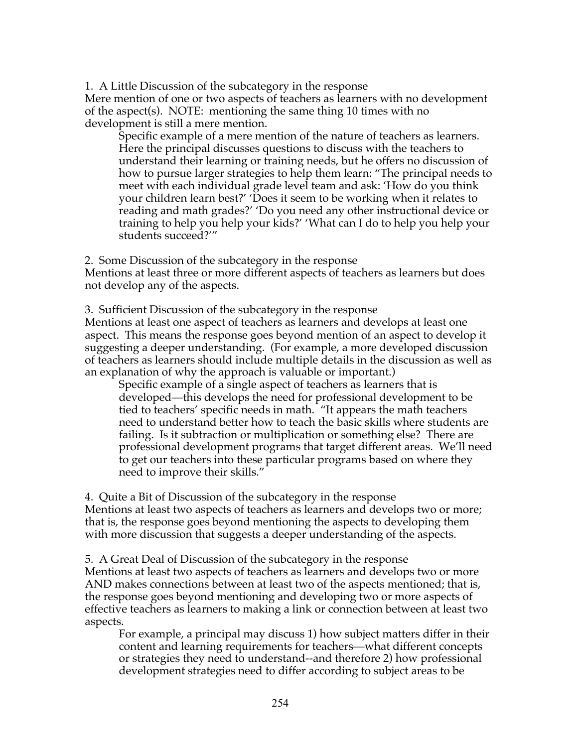1. A Little Discussion of the subcategory in the response Mere mention of one or two aspects of teachers as learners with no development of the aspect(s). NOTE: mentioning the same thing 10 times with no development is still a mere mention.

Specific example of a mere mention of the nature of teachers as learners. Here the principal discusses questions to discuss with the teachers to understand their learning or training needs, but he offers no discussion of how to pursue larger strategies to help them learn: "The principal needs to meet with each individual grade level team and ask: 'How do you think your children learn best?' 'Does it seem to be working when it relates to reading and math grades?' 'Do you need any other instructional device or training to help you help your kids?' 'What can I do to help you help your students succeed?'"

2. Some Discussion of the subcategory in the response

Mentions at least three or more different aspects of teachers as learners but does not develop any of the aspects.

3. Sufficient Discussion of the subcategory in the response

Mentions at least one aspect of teachers as learners and develops at least one aspect. This means the response goes beyond mention of an aspect to develop it suggesting a deeper understanding. (For example, a more developed discussion of teachers as learners should include multiple details in the discussion as well as an explanation of why the approach is valuable or important.)

Specific example of a single aspect of teachers as learners that is developed—this develops the need for professional development to be tied to teachers' specific needs in math. "It appears the math teachers need to understand better how to teach the basic skills where students are failing. Is it subtraction or multiplication or something else? There are professional development programs that target different areas. We'll need to get our teachers into these particular programs based on where they need to improve their skills."

4. Quite a Bit of Discussion of the subcategory in the response Mentions at least two aspects of teachers as learners and develops two or more; that is, the response goes beyond mentioning the aspects to developing them with more discussion that suggests a deeper understanding of the aspects.

5. A Great Deal of Discussion of the subcategory in the response Mentions at least two aspects of teachers as learners and develops two or more AND makes connections between at least two of the aspects mentioned; that is, the response goes beyond mentioning and developing two or more aspects of effective teachers as learners to making a link or connection between at least two aspects.

For example, a principal may discuss 1) how subject matters differ in their content and learning requirements for teachers—what different concepts or strategies they need to understand--and therefore 2) how professional development strategies need to differ according to subject areas to be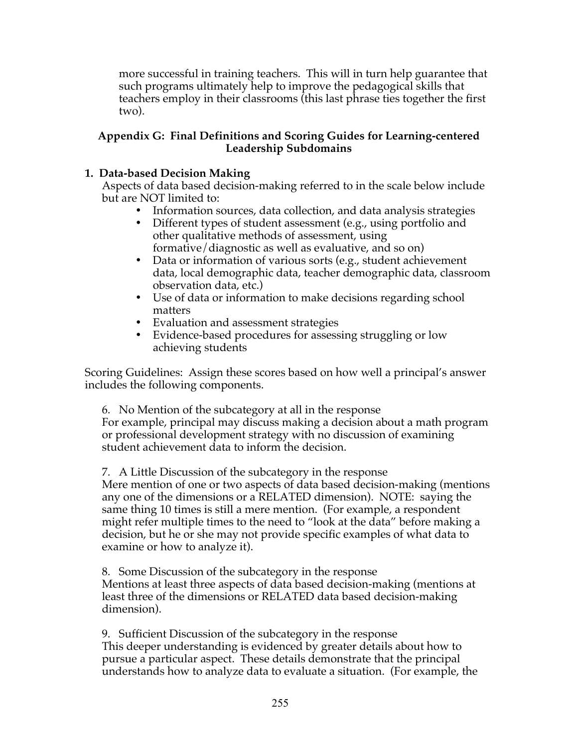more successful in training teachers. This will in turn help guarantee that such programs ultimately help to improve the pedagogical skills that teachers employ in their classrooms (this last phrase ties together the first two).

## **Appendix G: Final Definitions and Scoring Guides for Learning-centered Leadership Subdomains**

# **1. Data-based Decision Making**

Aspects of data based decision-making referred to in the scale below include but are NOT limited to:

- Information sources, data collection, and data analysis strategies
- Different types of student assessment (e.g., using portfolio and other qualitative methods of assessment, using formative/diagnostic as well as evaluative, and so on)
- Data or information of various sorts (e.g., student achievement data, local demographic data, teacher demographic data, classroom observation data, etc.)
- Use of data or information to make decisions regarding school matters
- Evaluation and assessment strategies<br>• Evidence-based procedures for assess
- Evidence-based procedures for assessing struggling or low achieving students

Scoring Guidelines: Assign these scores based on how well a principal's answer includes the following components.

6. No Mention of the subcategory at all in the response For example, principal may discuss making a decision about a math program or professional development strategy with no discussion of examining student achievement data to inform the decision.

7. A Little Discussion of the subcategory in the response

Mere mention of one or two aspects of data based decision-making (mentions any one of the dimensions or a RELATED dimension). NOTE: saying the same thing 10 times is still a mere mention. (For example, a respondent might refer multiple times to the need to "look at the data" before making a decision, but he or she may not provide specific examples of what data to examine or how to analyze it).

8. Some Discussion of the subcategory in the response Mentions at least three aspects of data based decision-making (mentions at least three of the dimensions or RELATED data based decision-making dimension).

9. Sufficient Discussion of the subcategory in the response This deeper understanding is evidenced by greater details about how to pursue a particular aspect. These details demonstrate that the principal understands how to analyze data to evaluate a situation. (For example, the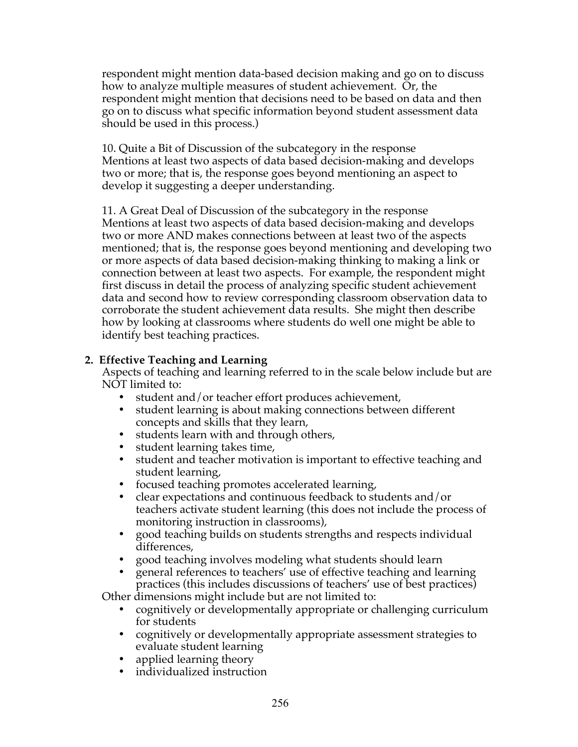respondent might mention data-based decision making and go on to discuss how to analyze multiple measures of student achievement. Or, the respondent might mention that decisions need to be based on data and then go on to discuss what specific information beyond student assessment data should be used in this process.)

10. Quite a Bit of Discussion of the subcategory in the response Mentions at least two aspects of data based decision-making and develops two or more; that is, the response goes beyond mentioning an aspect to develop it suggesting a deeper understanding.

11. A Great Deal of Discussion of the subcategory in the response Mentions at least two aspects of data based decision-making and develops two or more AND makes connections between at least two of the aspects mentioned; that is, the response goes beyond mentioning and developing two or more aspects of data based decision-making thinking to making a link or connection between at least two aspects. For example, the respondent might first discuss in detail the process of analyzing specific student achievement data and second how to review corresponding classroom observation data to corroborate the student achievement data results. She might then describe how by looking at classrooms where students do well one might be able to identify best teaching practices.

# **2. Effective Teaching and Learning**

Aspects of teaching and learning referred to in the scale below include but are NOT limited to:

- student and/or teacher effort produces achievement,
- student learning is about making connections between different concepts and skills that they learn,
- students learn with and through others,
- student learning takes time,
- student and teacher motivation is important to effective teaching and student learning,
- focused teaching promotes accelerated learning,
- clear expectations and continuous feedback to students and/or teachers activate student learning (this does not include the process of monitoring instruction in classrooms),
- good teaching builds on students strengths and respects individual differences,
- good teaching involves modeling what students should learn
- general references to teachers' use of effective teaching and learning practices (this includes discussions of teachers' use of best practices)

Other dimensions might include but are not limited to:

- cognitively or developmentally appropriate or challenging curriculum for students
- cognitively or developmentally appropriate assessment strategies to evaluate student learning
- applied learning theory<br>• individualized instruction
- individualized instruction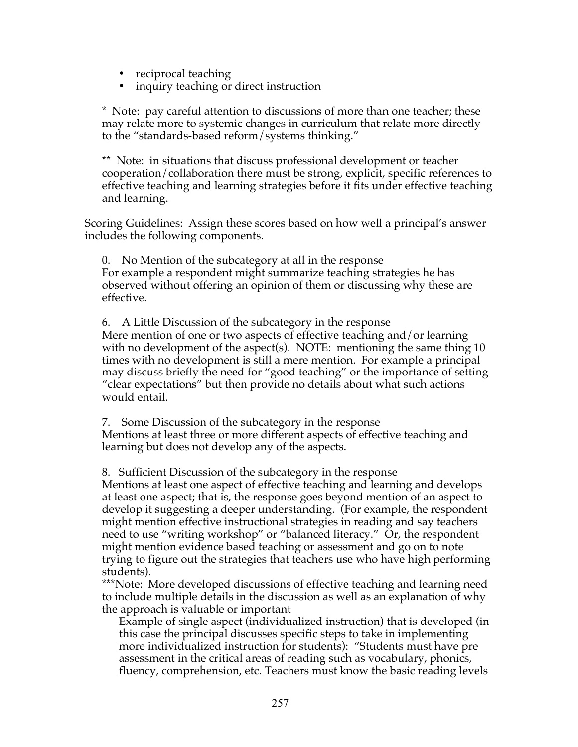- 
- reciprocal teaching<br>• inquiry teaching or • inquiry teaching or direct instruction

\* Note: pay careful attention to discussions of more than one teacher; these may relate more to systemic changes in curriculum that relate more directly to the "standards-based reform/systems thinking."

\*\* Note: in situations that discuss professional development or teacher cooperation/collaboration there must be strong, explicit, specific references to effective teaching and learning strategies before it fits under effective teaching and learning.

Scoring Guidelines: Assign these scores based on how well a principal's answer includes the following components.

0. No Mention of the subcategory at all in the response For example a respondent might summarize teaching strategies he has observed without offering an opinion of them or discussing why these are effective.

6. A Little Discussion of the subcategory in the response Mere mention of one or two aspects of effective teaching and/or learning with no development of the aspect(s). NOTE: mentioning the same thing 10 times with no development is still a mere mention. For example a principal may discuss briefly the need for "good teaching" or the importance of setting "clear expectations" but then provide no details about what such actions would entail.

7. Some Discussion of the subcategory in the response Mentions at least three or more different aspects of effective teaching and learning but does not develop any of the aspects.

8. Sufficient Discussion of the subcategory in the response

Mentions at least one aspect of effective teaching and learning and develops at least one aspect; that is, the response goes beyond mention of an aspect to develop it suggesting a deeper understanding. (For example, the respondent might mention effective instructional strategies in reading and say teachers need to use "writing workshop" or "balanced literacy." Or, the respondent might mention evidence based teaching or assessment and go on to note trying to figure out the strategies that teachers use who have high performing students).

\*\*\*Note: More developed discussions of effective teaching and learning need to include multiple details in the discussion as well as an explanation of why the approach is valuable or important

Example of single aspect (individualized instruction) that is developed (in this case the principal discusses specific steps to take in implementing more individualized instruction for students): "Students must have pre assessment in the critical areas of reading such as vocabulary, phonics, fluency, comprehension, etc. Teachers must know the basic reading levels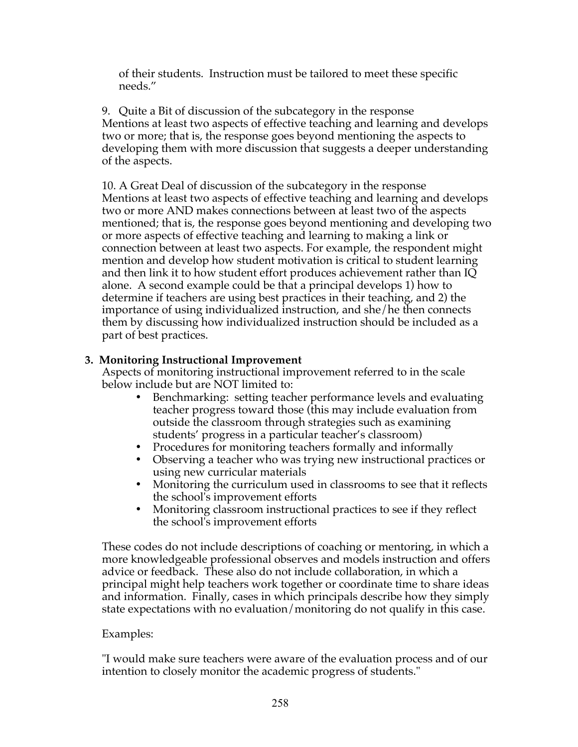of their students. Instruction must be tailored to meet these specific needs."

9. Quite a Bit of discussion of the subcategory in the response Mentions at least two aspects of effective teaching and learning and develops two or more; that is, the response goes beyond mentioning the aspects to developing them with more discussion that suggests a deeper understanding of the aspects.

10. A Great Deal of discussion of the subcategory in the response Mentions at least two aspects of effective teaching and learning and develops two or more AND makes connections between at least two of the aspects mentioned; that is, the response goes beyond mentioning and developing two or more aspects of effective teaching and learning to making a link or connection between at least two aspects. For example, the respondent might mention and develop how student motivation is critical to student learning and then link it to how student effort produces achievement rather than IQ alone. A second example could be that a principal develops 1) how to determine if teachers are using best practices in their teaching, and 2) the importance of using individualized instruction, and she/he then connects them by discussing how individualized instruction should be included as a part of best practices.

# **3. Monitoring Instructional Improvement**

Aspects of monitoring instructional improvement referred to in the scale below include but are NOT limited to:

- Benchmarking: setting teacher performance levels and evaluating teacher progress toward those (this may include evaluation from outside the classroom through strategies such as examining students' progress in a particular teacher's classroom)
- Procedures for monitoring teachers formally and informally
- Observing a teacher who was trying new instructional practices or using new curricular materials
- Monitoring the curriculum used in classrooms to see that it reflects the school's improvement efforts
- Monitoring classroom instructional practices to see if they reflect the school's improvement efforts

These codes do not include descriptions of coaching or mentoring, in which a more knowledgeable professional observes and models instruction and offers advice or feedback. These also do not include collaboration, in which a principal might help teachers work together or coordinate time to share ideas and information. Finally, cases in which principals describe how they simply state expectations with no evaluation/monitoring do not qualify in this case.

# Examples:

"I would make sure teachers were aware of the evaluation process and of our intention to closely monitor the academic progress of students."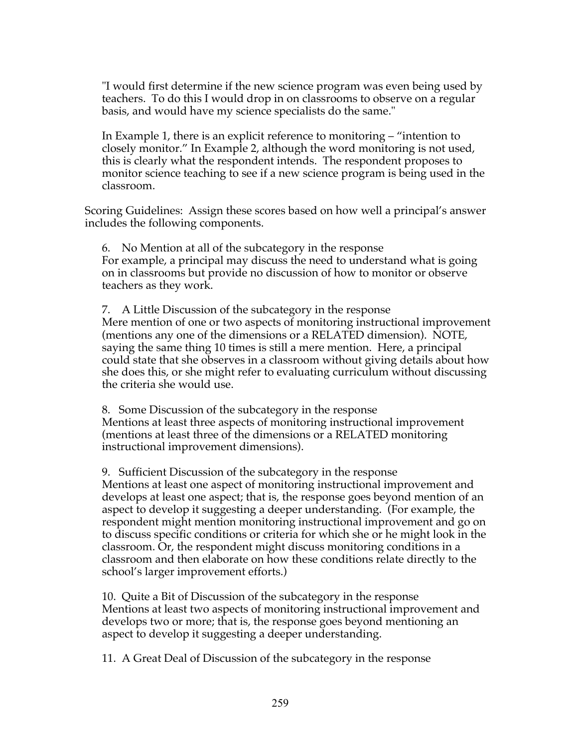"I would first determine if the new science program was even being used by teachers. To do this I would drop in on classrooms to observe on a regular basis, and would have my science specialists do the same."

In Example 1, there is an explicit reference to monitoring – "intention to closely monitor." In Example 2, although the word monitoring is not used, this is clearly what the respondent intends. The respondent proposes to monitor science teaching to see if a new science program is being used in the classroom.

Scoring Guidelines: Assign these scores based on how well a principal's answer includes the following components.

6. No Mention at all of the subcategory in the response For example, a principal may discuss the need to understand what is going on in classrooms but provide no discussion of how to monitor or observe teachers as they work.

7. A Little Discussion of the subcategory in the response Mere mention of one or two aspects of monitoring instructional improvement (mentions any one of the dimensions or a RELATED dimension). NOTE, saying the same thing 10 times is still a mere mention. Here, a principal could state that she observes in a classroom without giving details about how she does this, or she might refer to evaluating curriculum without discussing the criteria she would use.

8. Some Discussion of the subcategory in the response Mentions at least three aspects of monitoring instructional improvement (mentions at least three of the dimensions or a RELATED monitoring instructional improvement dimensions).

9. Sufficient Discussion of the subcategory in the response

Mentions at least one aspect of monitoring instructional improvement and develops at least one aspect; that is, the response goes beyond mention of an aspect to develop it suggesting a deeper understanding. (For example, the respondent might mention monitoring instructional improvement and go on to discuss specific conditions or criteria for which she or he might look in the classroom. Or, the respondent might discuss monitoring conditions in a classroom and then elaborate on how these conditions relate directly to the school's larger improvement efforts.)

10. Quite a Bit of Discussion of the subcategory in the response Mentions at least two aspects of monitoring instructional improvement and develops two or more; that is, the response goes beyond mentioning an aspect to develop it suggesting a deeper understanding.

11. A Great Deal of Discussion of the subcategory in the response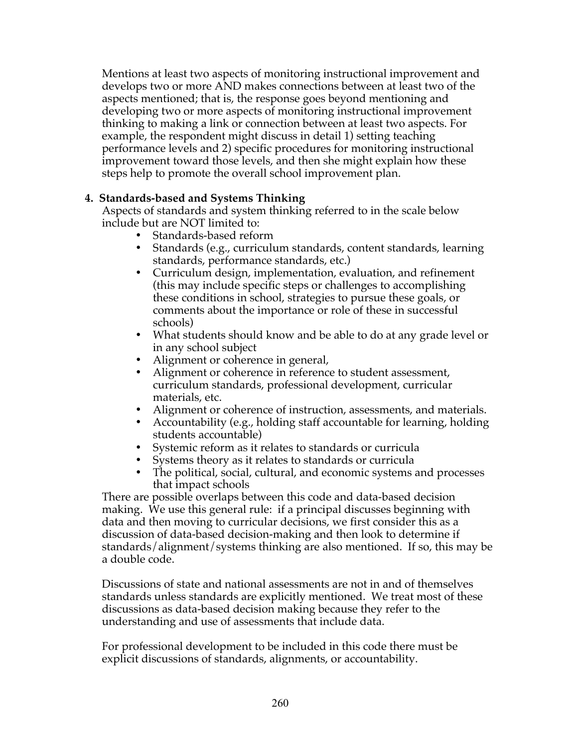Mentions at least two aspects of monitoring instructional improvement and develops two or more AND makes connections between at least two of the aspects mentioned; that is, the response goes beyond mentioning and developing two or more aspects of monitoring instructional improvement thinking to making a link or connection between at least two aspects. For example, the respondent might discuss in detail 1) setting teaching performance levels and 2) specific procedures for monitoring instructional improvement toward those levels, and then she might explain how these steps help to promote the overall school improvement plan.

# **4. Standards-based and Systems Thinking**

Aspects of standards and system thinking referred to in the scale below include but are NOT limited to:

- Standards-based reform
- Standards (e.g., curriculum standards, content standards, learning standards, performance standards, etc.)
- Curriculum design, implementation, evaluation, and refinement (this may include specific steps or challenges to accomplishing these conditions in school, strategies to pursue these goals, or comments about the importance or role of these in successful schools)
- What students should know and be able to do at any grade level or in any school subject
- Alignment or coherence in general,
- Alignment or coherence in reference to student assessment, curriculum standards, professional development, curricular materials, etc.
- Alignment or coherence of instruction, assessments, and materials.
- Accountability (e.g., holding staff accountable for learning, holding students accountable)
- Systemic reform as it relates to standards or curricula
- Systems theory as it relates to standards or curricula
- The political, social, cultural, and economic systems and processes that impact schools

There are possible overlaps between this code and data-based decision making. We use this general rule: if a principal discusses beginning with data and then moving to curricular decisions, we first consider this as a discussion of data-based decision-making and then look to determine if standards/alignment/systems thinking are also mentioned. If so, this may be a double code.

Discussions of state and national assessments are not in and of themselves standards unless standards are explicitly mentioned. We treat most of these discussions as data-based decision making because they refer to the understanding and use of assessments that include data.

For professional development to be included in this code there must be explicit discussions of standards, alignments, or accountability.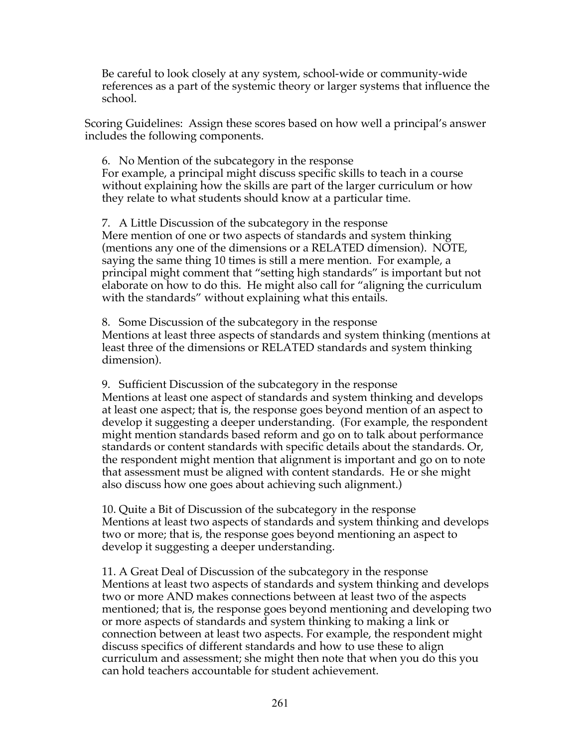Be careful to look closely at any system, school-wide or community-wide references as a part of the systemic theory or larger systems that influence the school.

Scoring Guidelines: Assign these scores based on how well a principal's answer includes the following components.

6. No Mention of the subcategory in the response For example, a principal might discuss specific skills to teach in a course without explaining how the skills are part of the larger curriculum or how they relate to what students should know at a particular time.

7. A Little Discussion of the subcategory in the response Mere mention of one or two aspects of standards and system thinking (mentions any one of the dimensions or a RELATED dimension). NOTE, saying the same thing 10 times is still a mere mention. For example, a principal might comment that "setting high standards" is important but not elaborate on how to do this. He might also call for "aligning the curriculum with the standards" without explaining what this entails.

8. Some Discussion of the subcategory in the response Mentions at least three aspects of standards and system thinking (mentions at least three of the dimensions or RELATED standards and system thinking dimension).

9. Sufficient Discussion of the subcategory in the response Mentions at least one aspect of standards and system thinking and develops at least one aspect; that is, the response goes beyond mention of an aspect to develop it suggesting a deeper understanding. (For example, the respondent might mention standards based reform and go on to talk about performance standards or content standards with specific details about the standards. Or, the respondent might mention that alignment is important and go on to note that assessment must be aligned with content standards. He or she might also discuss how one goes about achieving such alignment.)

10. Quite a Bit of Discussion of the subcategory in the response Mentions at least two aspects of standards and system thinking and develops two or more; that is, the response goes beyond mentioning an aspect to develop it suggesting a deeper understanding.

11. A Great Deal of Discussion of the subcategory in the response Mentions at least two aspects of standards and system thinking and develops two or more AND makes connections between at least two of the aspects mentioned; that is, the response goes beyond mentioning and developing two or more aspects of standards and system thinking to making a link or connection between at least two aspects. For example, the respondent might discuss specifics of different standards and how to use these to align curriculum and assessment; she might then note that when you do this you can hold teachers accountable for student achievement.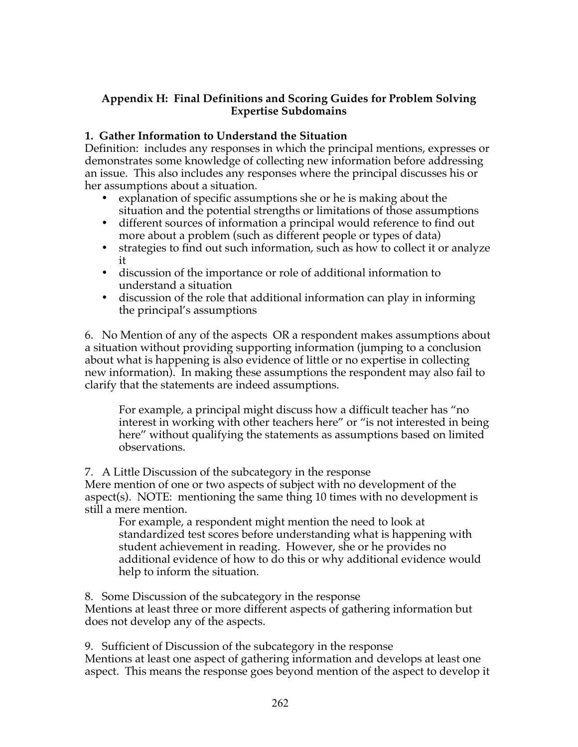## **Appendix H: Final Definitions and Scoring Guides for Problem Solving Expertise Subdomains**

## **1. Gather Information to Understand the Situation**

Definition: includes any responses in which the principal mentions, expresses or demonstrates some knowledge of collecting new information before addressing an issue. This also includes any responses where the principal discusses his or her assumptions about a situation.

- explanation of specific assumptions she or he is making about the situation and the potential strengths or limitations of those assumptions
- different sources of information a principal would reference to find out more about a problem (such as different people or types of data)
- strategies to find out such information, such as how to collect it or analyze it
- discussion of the importance or role of additional information to understand a situation
- discussion of the role that additional information can play in informing the principal's assumptions

6. No Mention of any of the aspects OR a respondent makes assumptions about a situation without providing supporting information (jumping to a conclusion about what is happening is also evidence of little or no expertise in collecting new information). In making these assumptions the respondent may also fail to clarify that the statements are indeed assumptions.

For example, a principal might discuss how a difficult teacher has "no interest in working with other teachers here" or "is not interested in being here" without qualifying the statements as assumptions based on limited observations.

7. A Little Discussion of the subcategory in the response

Mere mention of one or two aspects of subject with no development of the aspect(s). NOTE: mentioning the same thing 10 times with no development is still a mere mention.

For example, a respondent might mention the need to look at standardized test scores before understanding what is happening with student achievement in reading. However, she or he provides no additional evidence of how to do this or why additional evidence would help to inform the situation.

8. Some Discussion of the subcategory in the response Mentions at least three or more different aspects of gathering information but does not develop any of the aspects.

9. Sufficient of Discussion of the subcategory in the response Mentions at least one aspect of gathering information and develops at least one aspect. This means the response goes beyond mention of the aspect to develop it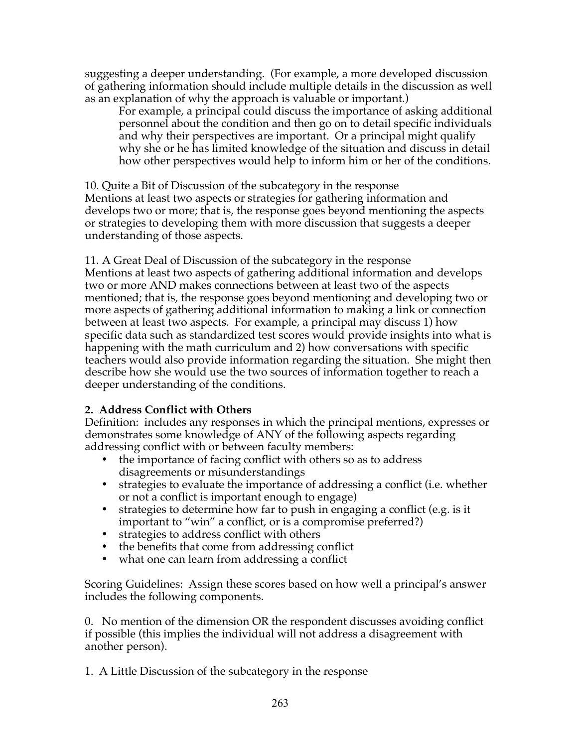suggesting a deeper understanding. (For example, a more developed discussion of gathering information should include multiple details in the discussion as well as an explanation of why the approach is valuable or important.)

For example, a principal could discuss the importance of asking additional personnel about the condition and then go on to detail specific individuals and why their perspectives are important. Or a principal might qualify why she or he has limited knowledge of the situation and discuss in detail how other perspectives would help to inform him or her of the conditions.

10. Quite a Bit of Discussion of the subcategory in the response Mentions at least two aspects or strategies for gathering information and develops two or more; that is, the response goes beyond mentioning the aspects or strategies to developing them with more discussion that suggests a deeper understanding of those aspects.

11. A Great Deal of Discussion of the subcategory in the response Mentions at least two aspects of gathering additional information and develops two or more AND makes connections between at least two of the aspects mentioned; that is, the response goes beyond mentioning and developing two or more aspects of gathering additional information to making a link or connection between at least two aspects. For example, a principal may discuss 1) how specific data such as standardized test scores would provide insights into what is happening with the math curriculum and 2) how conversations with specific teachers would also provide information regarding the situation. She might then describe how she would use the two sources of information together to reach a deeper understanding of the conditions.

# **2. Address Conflict with Others**

Definition: includes any responses in which the principal mentions, expresses or demonstrates some knowledge of ANY of the following aspects regarding addressing conflict with or between faculty members:

- the importance of facing conflict with others so as to address disagreements or misunderstandings
- strategies to evaluate the importance of addressing a conflict (i.e. whether or not a conflict is important enough to engage)
- strategies to determine how far to push in engaging a conflict (e.g. is it important to "win" a conflict, or is a compromise preferred?)
- strategies to address conflict with others
- the benefits that come from addressing conflict
- what one can learn from addressing a conflict

Scoring Guidelines: Assign these scores based on how well a principal's answer includes the following components.

0. No mention of the dimension OR the respondent discusses avoiding conflict if possible (this implies the individual will not address a disagreement with another person).

1. A Little Discussion of the subcategory in the response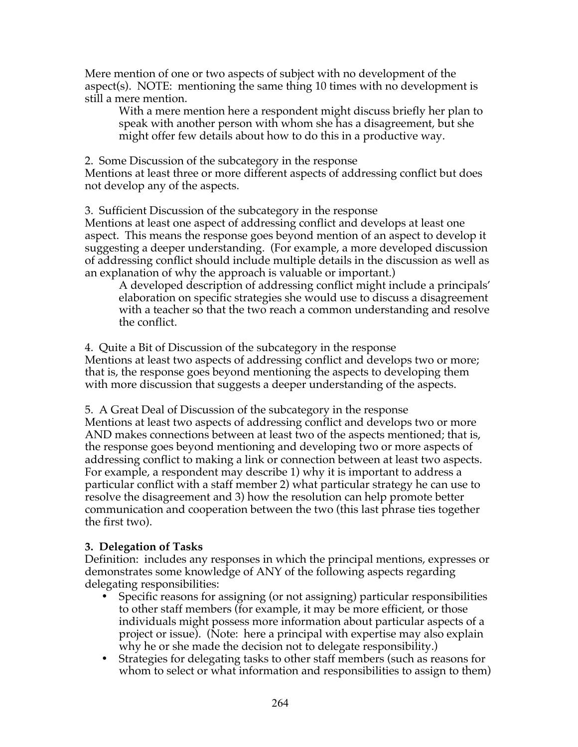Mere mention of one or two aspects of subject with no development of the aspect(s). NOTE: mentioning the same thing 10 times with no development is still a mere mention.

With a mere mention here a respondent might discuss briefly her plan to speak with another person with whom she has a disagreement, but she might offer few details about how to do this in a productive way.

2. Some Discussion of the subcategory in the response Mentions at least three or more different aspects of addressing conflict but does not develop any of the aspects.

3. Sufficient Discussion of the subcategory in the response

Mentions at least one aspect of addressing conflict and develops at least one aspect. This means the response goes beyond mention of an aspect to develop it suggesting a deeper understanding. (For example, a more developed discussion of addressing conflict should include multiple details in the discussion as well as an explanation of why the approach is valuable or important.)

A developed description of addressing conflict might include a principals' elaboration on specific strategies she would use to discuss a disagreement with a teacher so that the two reach a common understanding and resolve the conflict.

4. Quite a Bit of Discussion of the subcategory in the response Mentions at least two aspects of addressing conflict and develops two or more; that is, the response goes beyond mentioning the aspects to developing them with more discussion that suggests a deeper understanding of the aspects.

5. A Great Deal of Discussion of the subcategory in the response Mentions at least two aspects of addressing conflict and develops two or more AND makes connections between at least two of the aspects mentioned; that is, the response goes beyond mentioning and developing two or more aspects of addressing conflict to making a link or connection between at least two aspects. For example, a respondent may describe 1) why it is important to address a particular conflict with a staff member 2) what particular strategy he can use to resolve the disagreement and 3) how the resolution can help promote better communication and cooperation between the two (this last phrase ties together the first two).

# **3. Delegation of Tasks**

Definition: includes any responses in which the principal mentions, expresses or demonstrates some knowledge of ANY of the following aspects regarding delegating responsibilities:

- Specific reasons for assigning (or not assigning) particular responsibilities to other staff members (for example, it may be more efficient, or those individuals might possess more information about particular aspects of a project or issue). (Note: here a principal with expertise may also explain why he or she made the decision not to delegate responsibility.)
- Strategies for delegating tasks to other staff members (such as reasons for whom to select or what information and responsibilities to assign to them)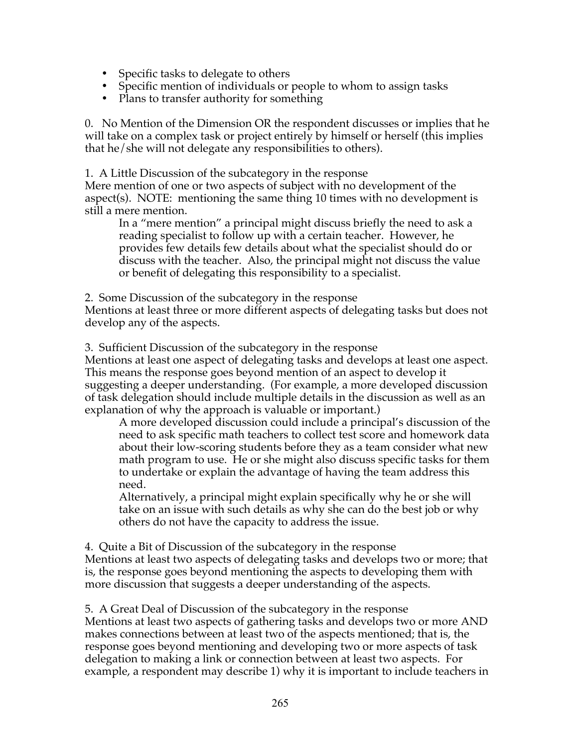- Specific tasks to delegate to others
- Specific mention of individuals or people to whom to assign tasks
- Plans to transfer authority for something

0. No Mention of the Dimension OR the respondent discusses or implies that he will take on a complex task or project entirely by himself or herself (this implies that he/she will not delegate any responsibilities to others).

1. A Little Discussion of the subcategory in the response

Mere mention of one or two aspects of subject with no development of the aspect(s). NOTE: mentioning the same thing 10 times with no development is still a mere mention.

In a "mere mention" a principal might discuss briefly the need to ask a reading specialist to follow up with a certain teacher. However, he provides few details few details about what the specialist should do or discuss with the teacher. Also, the principal might not discuss the value or benefit of delegating this responsibility to a specialist.

2. Some Discussion of the subcategory in the response

Mentions at least three or more different aspects of delegating tasks but does not develop any of the aspects.

3. Sufficient Discussion of the subcategory in the response

Mentions at least one aspect of delegating tasks and develops at least one aspect. This means the response goes beyond mention of an aspect to develop it suggesting a deeper understanding. (For example, a more developed discussion of task delegation should include multiple details in the discussion as well as an explanation of why the approach is valuable or important.)

A more developed discussion could include a principal's discussion of the need to ask specific math teachers to collect test score and homework data about their low-scoring students before they as a team consider what new math program to use. He or she might also discuss specific tasks for them to undertake or explain the advantage of having the team address this need.

Alternatively, a principal might explain specifically why he or she will take on an issue with such details as why she can do the best job or why others do not have the capacity to address the issue.

4. Quite a Bit of Discussion of the subcategory in the response Mentions at least two aspects of delegating tasks and develops two or more; that is, the response goes beyond mentioning the aspects to developing them with more discussion that suggests a deeper understanding of the aspects.

5. A Great Deal of Discussion of the subcategory in the response Mentions at least two aspects of gathering tasks and develops two or more AND makes connections between at least two of the aspects mentioned; that is, the response goes beyond mentioning and developing two or more aspects of task delegation to making a link or connection between at least two aspects. For example, a respondent may describe 1) why it is important to include teachers in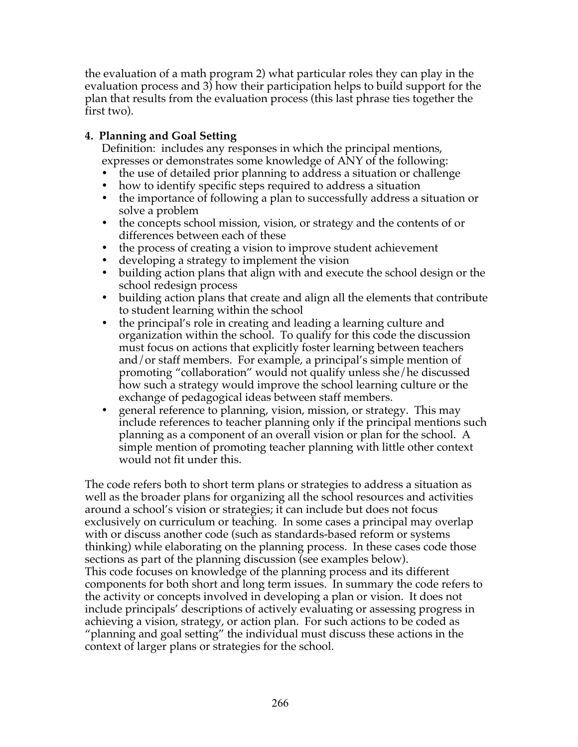the evaluation of a math program 2) what particular roles they can play in the evaluation process and 3) how their participation helps to build support for the plan that results from the evaluation process (this last phrase ties together the first two).

# **4. Planning and Goal Setting**

Definition: includes any responses in which the principal mentions, expresses or demonstrates some knowledge of ANY of the following:

- the use of detailed prior planning to address a situation or challenge<br>• how to identify specific steps required to address a situation
- how to identify specific steps required to address a situation
- the importance of following a plan to successfully address a situation or solve a problem
- the concepts school mission, vision, or strategy and the contents of or differences between each of these
- the process of creating a vision to improve student achievement
- developing a strategy to implement the vision
- building action plans that align with and execute the school design or the school redesign process
- building action plans that create and align all the elements that contribute to student learning within the school
- the principal's role in creating and leading a learning culture and organization within the school. To qualify for this code the discussion must focus on actions that explicitly foster learning between teachers and/or staff members. For example, a principal's simple mention of promoting "collaboration" would not qualify unless she/he discussed how such a strategy would improve the school learning culture or the exchange of pedagogical ideas between staff members.
- general reference to planning, vision, mission, or strategy. This may include references to teacher planning only if the principal mentions such planning as a component of an overall vision or plan for the school. A simple mention of promoting teacher planning with little other context would not fit under this.

The code refers both to short term plans or strategies to address a situation as well as the broader plans for organizing all the school resources and activities around a school's vision or strategies; it can include but does not focus exclusively on curriculum or teaching. In some cases a principal may overlap with or discuss another code (such as standards-based reform or systems thinking) while elaborating on the planning process. In these cases code those sections as part of the planning discussion (see examples below). This code focuses on knowledge of the planning process and its different components for both short and long term issues. In summary the code refers to the activity or concepts involved in developing a plan or vision. It does not include principals' descriptions of actively evaluating or assessing progress in achieving a vision, strategy, or action plan. For such actions to be coded as "planning and goal setting" the individual must discuss these actions in the context of larger plans or strategies for the school.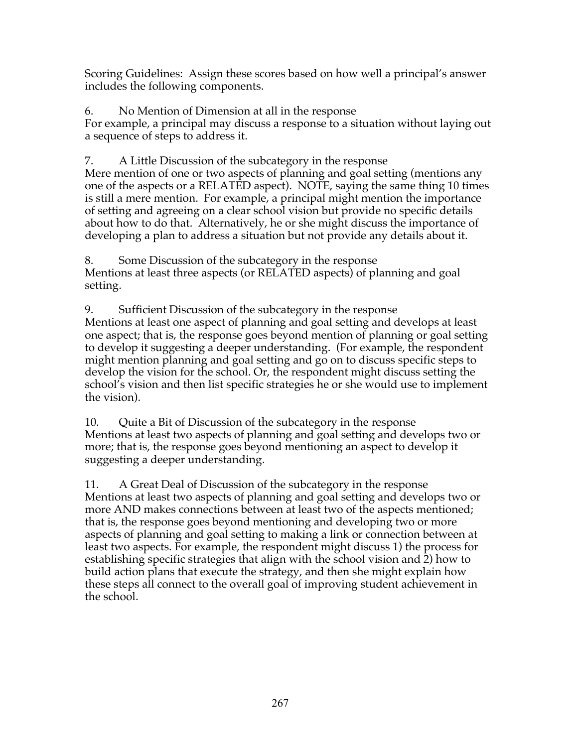Scoring Guidelines: Assign these scores based on how well a principal's answer includes the following components.

6. No Mention of Dimension at all in the response For example, a principal may discuss a response to a situation without laying out a sequence of steps to address it.

7. A Little Discussion of the subcategory in the response

Mere mention of one or two aspects of planning and goal setting (mentions any one of the aspects or a RELATED aspect). NOTE, saying the same thing 10 times is still a mere mention. For example, a principal might mention the importance of setting and agreeing on a clear school vision but provide no specific details about how to do that. Alternatively, he or she might discuss the importance of developing a plan to address a situation but not provide any details about it.

8. Some Discussion of the subcategory in the response Mentions at least three aspects (or RELATED aspects) of planning and goal setting.

9. Sufficient Discussion of the subcategory in the response Mentions at least one aspect of planning and goal setting and develops at least one aspect; that is, the response goes beyond mention of planning or goal setting to develop it suggesting a deeper understanding. (For example, the respondent might mention planning and goal setting and go on to discuss specific steps to develop the vision for the school. Or, the respondent might discuss setting the school's vision and then list specific strategies he or she would use to implement the vision).

10. Quite a Bit of Discussion of the subcategory in the response Mentions at least two aspects of planning and goal setting and develops two or more; that is, the response goes beyond mentioning an aspect to develop it suggesting a deeper understanding.

11. A Great Deal of Discussion of the subcategory in the response Mentions at least two aspects of planning and goal setting and develops two or more AND makes connections between at least two of the aspects mentioned; that is, the response goes beyond mentioning and developing two or more aspects of planning and goal setting to making a link or connection between at least two aspects. For example, the respondent might discuss 1) the process for establishing specific strategies that align with the school vision and 2) how to build action plans that execute the strategy, and then she might explain how these steps all connect to the overall goal of improving student achievement in the school.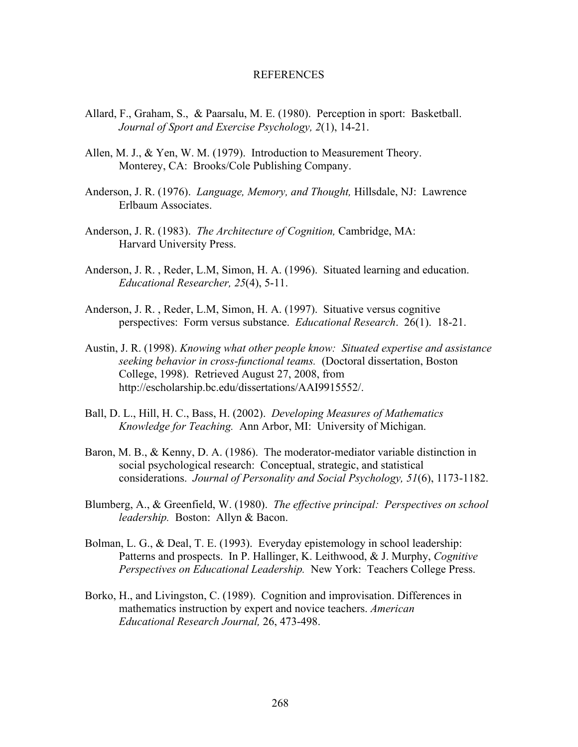#### REFERENCES

- Allard, F., Graham, S., & Paarsalu, M. E. (1980). Perception in sport: Basketball. *Journal of Sport and Exercise Psychology, 2*(1), 14-21.
- Allen, M. J., & Yen, W. M. (1979). Introduction to Measurement Theory. Monterey, CA: Brooks/Cole Publishing Company.
- Anderson, J. R. (1976). *Language, Memory, and Thought,* Hillsdale, NJ: Lawrence Erlbaum Associates.
- Anderson, J. R. (1983). *The Architecture of Cognition,* Cambridge, MA: Harvard University Press.
- Anderson, J. R. , Reder, L.M, Simon, H. A. (1996). Situated learning and education. *Educational Researcher, 25*(4), 5-11.
- Anderson, J. R. , Reder, L.M, Simon, H. A. (1997). Situative versus cognitive perspectives: Form versus substance. *Educational Research*. 26(1). 18-21.
- Austin, J. R. (1998). *Knowing what other people know: Situated expertise and assistance seeking behavior in cross-functional teams.* (Doctoral dissertation, Boston College, 1998). Retrieved August 27, 2008, from http://escholarship.bc.edu/dissertations/AAI9915552/.
- Ball, D. L., Hill, H. C., Bass, H. (2002). *Developing Measures of Mathematics Knowledge for Teaching.* Ann Arbor, MI: University of Michigan.
- Baron, M. B., & Kenny, D. A. (1986). The moderator-mediator variable distinction in social psychological research: Conceptual, strategic, and statistical considerations. *Journal of Personality and Social Psychology, 51*(6), 1173-1182.
- Blumberg, A., & Greenfield, W. (1980). *The effective principal: Perspectives on school leadership.* Boston: Allyn & Bacon.
- Bolman, L. G., & Deal, T. E. (1993). Everyday epistemology in school leadership: Patterns and prospects. In P. Hallinger, K. Leithwood, & J. Murphy, *Cognitive Perspectives on Educational Leadership.* New York: Teachers College Press.
- Borko, H., and Livingston, C. (1989). Cognition and improvisation. Differences in mathematics instruction by expert and novice teachers. *American Educational Research Journal,* 26, 473-498.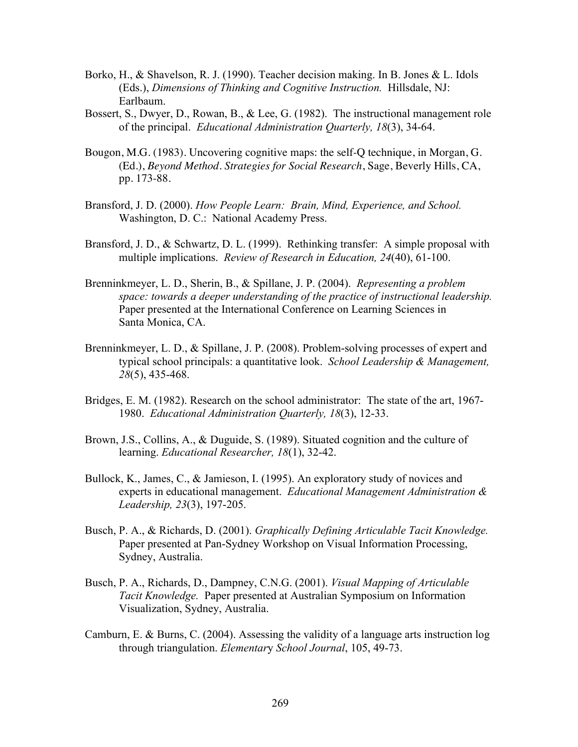- Borko, H., & Shavelson, R. J. (1990). Teacher decision making. In B. Jones & L. Idols (Eds.), *Dimensions of Thinking and Cognitive Instruction.* Hillsdale, NJ: Earlbaum.
- Bossert, S., Dwyer, D., Rowan, B., & Lee, G. (1982). The instructional management role of the principal. *Educational Administration Quarterly, 18*(3), 34-64.
- Bougon, M.G. (1983). Uncovering cognitive maps: the self-Q technique, in Morgan, G. (Ed.), *Beyond Method. Strategies for Social Research*, Sage, Beverly Hills, CA, pp. 173-88.
- Bransford, J. D. (2000). *How People Learn: Brain, Mind, Experience, and School.*  Washington, D. C.: National Academy Press.
- Bransford, J. D., & Schwartz, D. L. (1999). Rethinking transfer: A simple proposal with multiple implications. *Review of Research in Education, 24*(40), 61-100.
- Brenninkmeyer, L. D., Sherin, B., & Spillane, J. P. (2004). *Representing a problem space: towards a deeper understanding of the practice of instructional leadership.* Paper presented at the International Conference on Learning Sciences in Santa Monica, CA.
- Brenninkmeyer, L. D., & Spillane, J. P. (2008). Problem-solving processes of expert and typical school principals: a quantitative look. *School Leadership & Management, 28*(5), 435-468.
- Bridges, E. M. (1982). Research on the school administrator: The state of the art, 1967- 1980. *Educational Administration Quarterly, 18*(3), 12-33.
- Brown, J.S., Collins, A., & Duguide, S. (1989). Situated cognition and the culture of learning. *Educational Researcher, 18*(1), 32-42.
- Bullock, K., James, C., & Jamieson, I. (1995). An exploratory study of novices and experts in educational management. *Educational Management Administration & Leadership, 23*(3), 197-205.
- Busch, P. A., & Richards, D. (2001). *Graphically Defining Articulable Tacit Knowledge.*  Paper presented at Pan-Sydney Workshop on Visual Information Processing, Sydney, Australia.
- Busch, P. A., Richards, D., Dampney, C.N.G. (2001). *Visual Mapping of Articulable Tacit Knowledge.* Paper presented at Australian Symposium on Information Visualization, Sydney, Australia.
- Camburn, E. & Burns, C. (2004). Assessing the validity of a language arts instruction log through triangulation. *Elementar*y *School Journal*, 105, 49-73.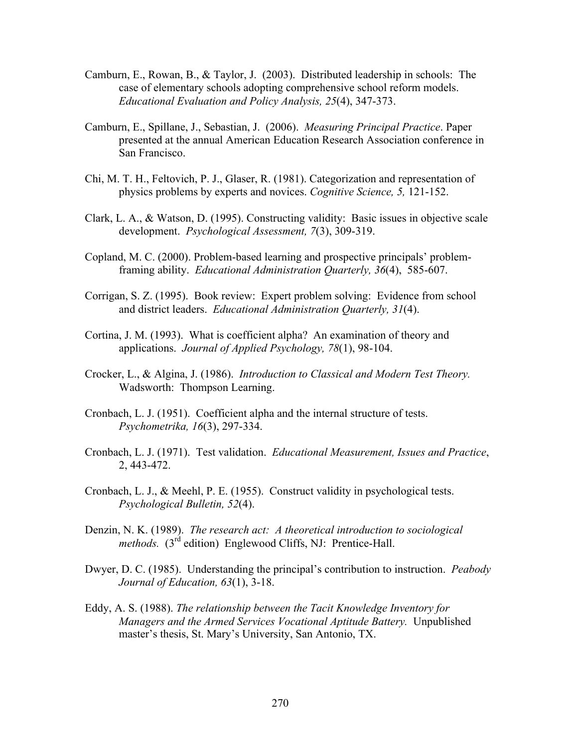- Camburn, E., Rowan, B., & Taylor, J. (2003). Distributed leadership in schools: The case of elementary schools adopting comprehensive school reform models. *Educational Evaluation and Policy Analysis, 25*(4), 347-373.
- Camburn, E., Spillane, J., Sebastian, J. (2006). *Measuring Principal Practice*. Paper presented at the annual American Education Research Association conference in San Francisco.
- Chi, M. T. H., Feltovich, P. J., Glaser, R. (1981). Categorization and representation of physics problems by experts and novices. *Cognitive Science, 5,* 121-152.
- Clark, L. A., & Watson, D. (1995). Constructing validity: Basic issues in objective scale development. *Psychological Assessment, 7*(3), 309-319.
- Copland, M. C. (2000). Problem-based learning and prospective principals' problemframing ability. *Educational Administration Quarterly, 36*(4), 585-607.
- Corrigan, S. Z. (1995). Book review: Expert problem solving: Evidence from school and district leaders. *Educational Administration Quarterly, 31*(4).
- Cortina, J. M. (1993). What is coefficient alpha? An examination of theory and applications. *Journal of Applied Psychology, 78*(1), 98-104.
- Crocker, L., & Algina, J. (1986). *Introduction to Classical and Modern Test Theory.*  Wadsworth: Thompson Learning.
- Cronbach, L. J. (1951). Coefficient alpha and the internal structure of tests. *Psychometrika, 16*(3), 297-334.
- Cronbach, L. J. (1971). Test validation. *Educational Measurement, Issues and Practice*, 2, 443-472.
- Cronbach, L. J., & Meehl, P. E. (1955). Construct validity in psychological tests. *Psychological Bulletin, 52*(4).
- Denzin, N. K. (1989). *The research act: A theoretical introduction to sociological methods.* (3<sup>rd</sup> edition) Englewood Cliffs, NJ: Prentice-Hall.
- Dwyer, D. C. (1985). Understanding the principal's contribution to instruction. *Peabody Journal of Education, 63*(1), 3-18.
- Eddy, A. S. (1988). *The relationship between the Tacit Knowledge Inventory for Managers and the Armed Services Vocational Aptitude Battery.* Unpublished master's thesis, St. Mary's University, San Antonio, TX.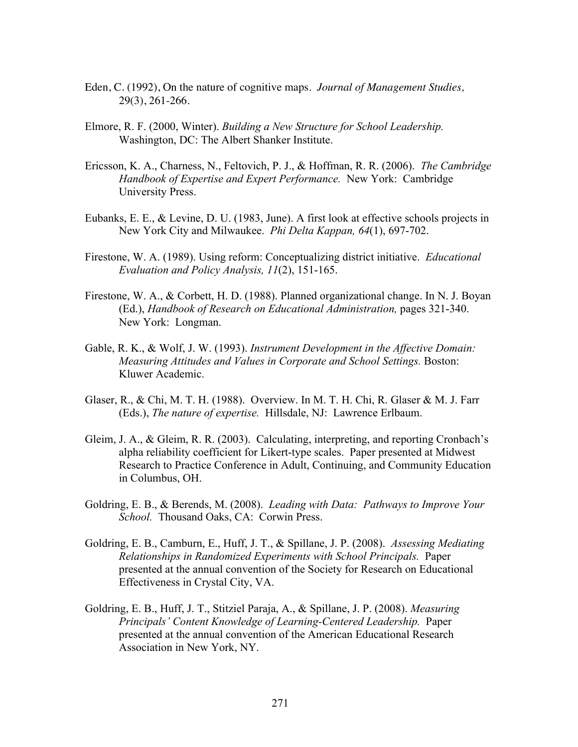- Eden, C. (1992), On the nature of cognitive maps. *Journal of Management Studies,*  29(3), 261-266.
- Elmore, R. F. (2000, Winter). *Building a New Structure for School Leadership.*  Washington, DC: The Albert Shanker Institute.
- Ericsson, K. A., Charness, N., Feltovich, P. J., & Hoffman, R. R. (2006). *The Cambridge Handbook of Expertise and Expert Performance.* New York: Cambridge University Press.
- Eubanks, E. E., & Levine, D. U. (1983, June). A first look at effective schools projects in New York City and Milwaukee. *Phi Delta Kappan, 64*(1), 697-702.
- Firestone, W. A. (1989). Using reform: Conceptualizing district initiative. *Educational Evaluation and Policy Analysis, 11*(2), 151-165.
- Firestone, W. A., & Corbett, H. D. (1988). Planned organizational change. In N. J. Boyan (Ed.), *Handbook of Research on Educational Administration,* pages 321-340. New York: Longman.
- Gable, R. K., & Wolf, J. W. (1993). *Instrument Development in the Affective Domain: Measuring Attitudes and Values in Corporate and School Settings.* Boston: Kluwer Academic.
- Glaser, R., & Chi, M. T. H. (1988). Overview. In M. T. H. Chi, R. Glaser & M. J. Farr (Eds.), *The nature of expertise.* Hillsdale, NJ: Lawrence Erlbaum.
- Gleim, J. A., & Gleim, R. R. (2003). Calculating, interpreting, and reporting Cronbach's alpha reliability coefficient for Likert-type scales. Paper presented at Midwest Research to Practice Conference in Adult, Continuing, and Community Education in Columbus, OH.
- Goldring, E. B., & Berends, M. (2008). *Leading with Data: Pathways to Improve Your School.* Thousand Oaks, CA: Corwin Press.
- Goldring, E. B., Camburn, E., Huff, J. T., & Spillane, J. P. (2008). *Assessing Mediating Relationships in Randomized Experiments with School Principals.* Paper presented at the annual convention of the Society for Research on Educational Effectiveness in Crystal City, VA.
- Goldring, E. B., Huff, J. T., Stitziel Paraja, A., & Spillane, J. P. (2008). *Measuring Principals' Content Knowledge of Learning-Centered Leadership.* Paper presented at the annual convention of the American Educational Research Association in New York, NY.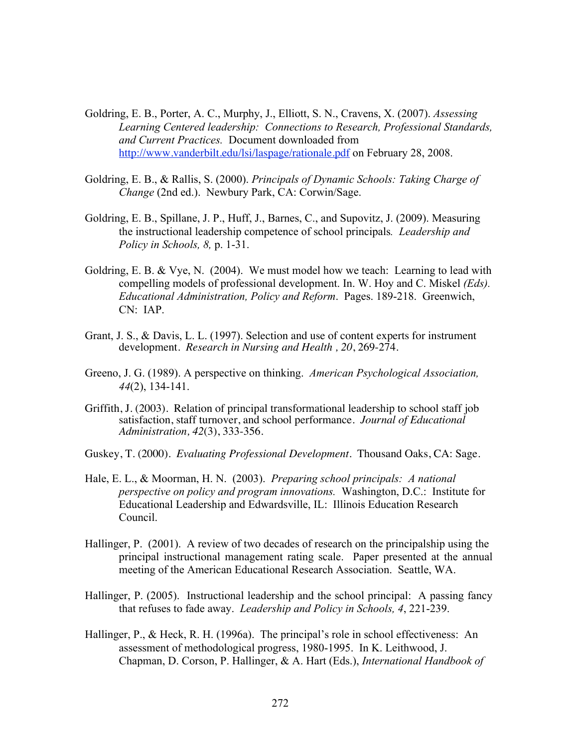- Goldring, E. B., Porter, A. C., Murphy, J., Elliott, S. N., Cravens, X. (2007). *Assessing Learning Centered leadership: Connections to Research, Professional Standards, and Current Practices.* Document downloaded from http://www.vanderbilt.edu/lsi/laspage/rationale.pdf on February 28, 2008.
- Goldring, E. B., & Rallis, S. (2000). *Principals of Dynamic Schools: Taking Charge of Change* (2nd ed.). Newbury Park, CA: Corwin/Sage.
- Goldring, E. B., Spillane, J. P., Huff, J., Barnes, C., and Supovitz, J. (2009). Measuring the instructional leadership competence of school principals*. Leadership and Policy in Schools, 8,* p. 1-31.
- Goldring, E. B. & Vye, N. (2004). We must model how we teach: Learning to lead with compelling models of professional development. In. W. Hoy and C. Miskel *(Eds). Educational Administration, Policy and Reform*. Pages. 189-218. Greenwich, CN: IAP.
- Grant, J. S., & Davis, L. L. (1997). Selection and use of content experts for instrument development. *Research in Nursing and Health , 20*, 269-274.
- Greeno, J. G. (1989). A perspective on thinking. *American Psychological Association, 44*(2), 134-141.
- Griffith, J. (2003). Relation of principal transformational leadership to school staff job satisfaction, staff turnover, and school performance. *Journal of Educational Administration, 42*(3), 333-356.
- Guskey, T. (2000). *Evaluating Professional Development.* Thousand Oaks, CA: Sage.
- Hale, E. L., & Moorman, H. N. (2003). *Preparing school principals: A national perspective on policy and program innovations.* Washington, D.C.: Institute for Educational Leadership and Edwardsville, IL: Illinois Education Research Council.
- Hallinger, P. (2001). A review of two decades of research on the principalship using the principal instructional management rating scale. Paper presented at the annual meeting of the American Educational Research Association. Seattle, WA.
- Hallinger, P. (2005). Instructional leadership and the school principal: A passing fancy that refuses to fade away. *Leadership and Policy in Schools, 4*, 221-239.
- Hallinger, P., & Heck, R. H. (1996a). The principal's role in school effectiveness: An assessment of methodological progress, 1980-1995. In K. Leithwood, J. Chapman, D. Corson, P. Hallinger, & A. Hart (Eds.), *International Handbook of*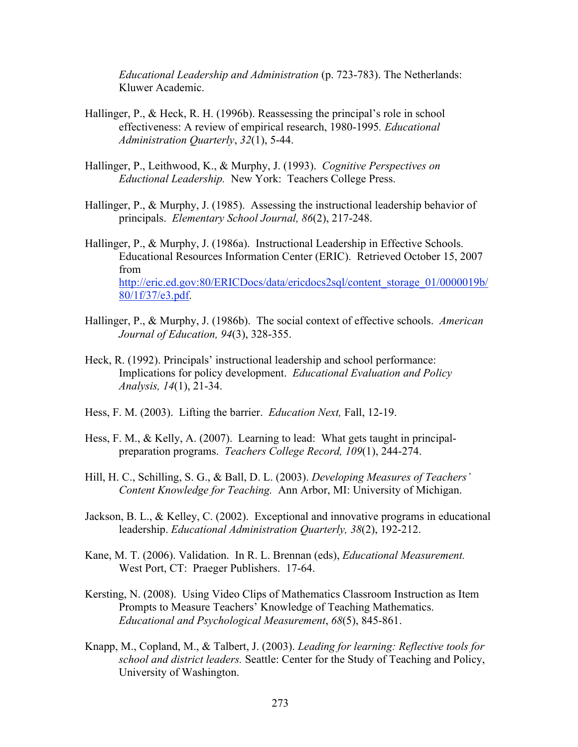*Educational Leadership and Administration* (p. 723-783). The Netherlands: Kluwer Academic.

- Hallinger, P., & Heck, R. H. (1996b). Reassessing the principal's role in school effectiveness: A review of empirical research, 1980-1995*. Educational Administration Quarterly*, *32*(1), 5-44.
- Hallinger, P., Leithwood, K., & Murphy, J. (1993). *Cognitive Perspectives on Eductional Leadership.* New York: Teachers College Press.
- Hallinger, P., & Murphy, J. (1985). Assessing the instructional leadership behavior of principals. *Elementary School Journal, 86*(2), 217-248.
- Hallinger, P., & Murphy, J. (1986a). Instructional Leadership in Effective Schools. Educational Resources Information Center (ERIC). Retrieved October 15, 2007 from http://eric.ed.gov:80/ERICDocs/data/ericdocs2sql/content\_storage\_01/0000019b/ 80/1f/37/e3.pdf.
- Hallinger, P., & Murphy, J. (1986b). The social context of effective schools. *American Journal of Education, 94*(3), 328-355.
- Heck, R. (1992). Principals' instructional leadership and school performance: Implications for policy development. *Educational Evaluation and Policy Analysis, 14*(1), 21-34.
- Hess, F. M. (2003). Lifting the barrier. *Education Next,* Fall, 12-19.
- Hess, F. M., & Kelly, A. (2007). Learning to lead: What gets taught in principalpreparation programs. *Teachers College Record, 109*(1), 244-274.
- Hill, H. C., Schilling, S. G., & Ball, D. L. (2003). *Developing Measures of Teachers' Content Knowledge for Teaching.* Ann Arbor, MI: University of Michigan.
- Jackson, B. L., & Kelley, C. (2002). Exceptional and innovative programs in educational leadership. *Educational Administration Quarterly, 38*(2), 192-212.
- Kane, M. T. (2006). Validation. In R. L. Brennan (eds), *Educational Measurement.*  West Port, CT: Praeger Publishers. 17-64.
- Kersting, N. (2008). Using Video Clips of Mathematics Classroom Instruction as Item Prompts to Measure Teachers' Knowledge of Teaching Mathematics. *Educational and Psychological Measurement*, *68*(5), 845-861.
- Knapp, M., Copland, M., & Talbert, J. (2003). *Leading for learning: Reflective tools for school and district leaders.* Seattle: Center for the Study of Teaching and Policy, University of Washington.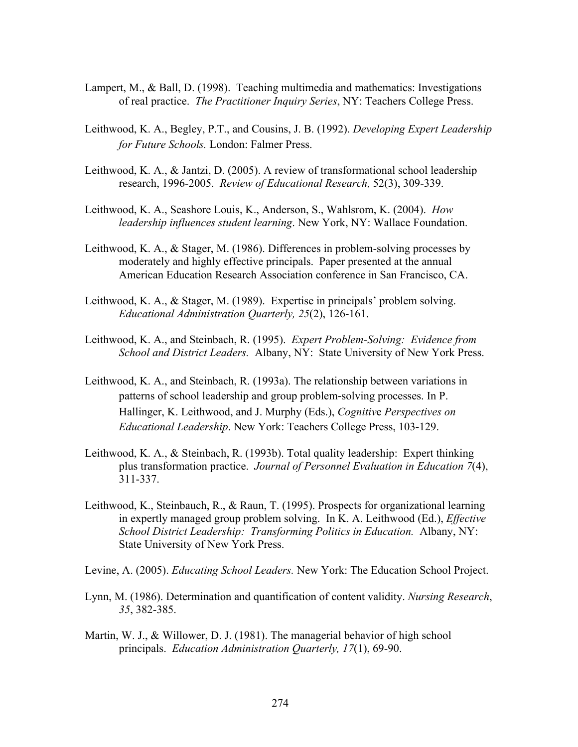- Lampert, M., & Ball, D. (1998). Teaching multimedia and mathematics: Investigations of real practice. *The Practitioner Inquiry Series*, NY: Teachers College Press.
- Leithwood, K. A., Begley, P.T., and Cousins, J. B. (1992). *Developing Expert Leadership for Future Schools.* London: Falmer Press.
- Leithwood, K. A., & Jantzi, D. (2005). A review of transformational school leadership research, 1996-2005. *Review of Educational Research,* 52(3), 309-339.
- Leithwood, K. A., Seashore Louis, K., Anderson, S., Wahlsrom, K. (2004). *How leadership influences student learning*. New York, NY: Wallace Foundation.
- Leithwood, K. A., & Stager, M. (1986). Differences in problem-solving processes by moderately and highly effective principals. Paper presented at the annual American Education Research Association conference in San Francisco, CA.
- Leithwood, K. A., & Stager, M. (1989). Expertise in principals' problem solving. *Educational Administration Quarterly, 25*(2), 126-161.
- Leithwood, K. A., and Steinbach, R. (1995). *Expert Problem-Solving: Evidence from School and District Leaders.* Albany, NY: State University of New York Press.
- Leithwood, K. A., and Steinbach, R. (1993a). The relationship between variations in patterns of school leadership and group problem-solving processes. In P. Hallinger, K. Leithwood, and J. Murphy (Eds.), *Cognitiv*e *Perspectives on Educational Leadership*. New York: Teachers College Press, 103-129.
- Leithwood, K. A., & Steinbach, R. (1993b). Total quality leadership: Expert thinking plus transformation practice. *Journal of Personnel Evaluation in Education 7*(4), 311-337.
- Leithwood, K., Steinbauch, R., & Raun, T. (1995). Prospects for organizational learning in expertly managed group problem solving. In K. A. Leithwood (Ed.), *Effective School District Leadership: Transforming Politics in Education.* Albany, NY: State University of New York Press.
- Levine, A. (2005). *Educating School Leaders.* New York: The Education School Project.
- Lynn, M. (1986). Determination and quantification of content validity. *Nursing Research*, *35*, 382-385.
- Martin, W. J., & Willower, D. J. (1981). The managerial behavior of high school principals. *Education Administration Quarterly, 17*(1), 69-90.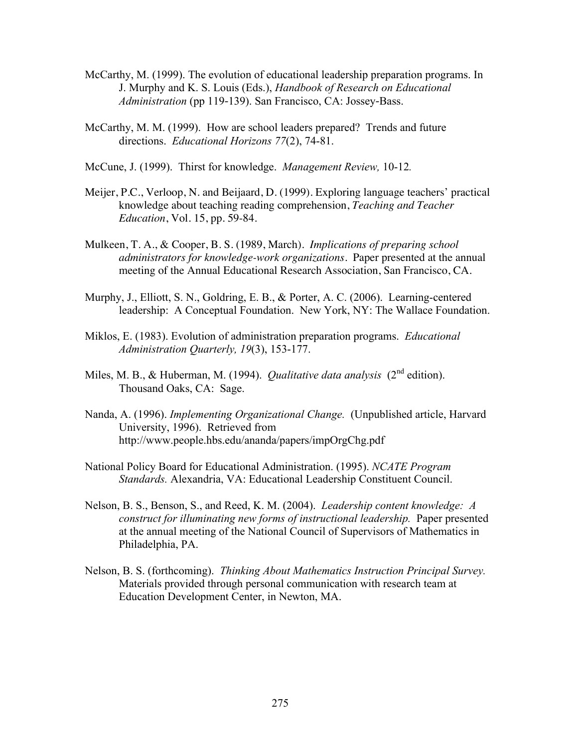- McCarthy, M. (1999). The evolution of educational leadership preparation programs. In J. Murphy and K. S. Louis (Eds.), *Handbook of Research on Educational Administration* (pp 119-139). San Francisco, CA: Jossey-Bass.
- McCarthy, M. M. (1999). How are school leaders prepared? Trends and future directions. *Educational Horizons 77*(2), 74-81.

McCune, J. (1999). Thirst for knowledge. *Management Review,* 10-12*.*

- Meijer, P.C., Verloop, N. and Beijaard, D. (1999). Exploring language teachers' practical knowledge about teaching reading comprehension, *Teaching and Teacher Education*, Vol. 15, pp. 59-84.
- Mulkeen, T. A., & Cooper, B. S. (1989, March). *Implications of preparing school administrators for knowledge-work organizations.* Paper presented at the annual meeting of the Annual Educational Research Association, San Francisco, CA.
- Murphy, J., Elliott, S. N., Goldring, E. B., & Porter, A. C. (2006). Learning-centered leadership: A Conceptual Foundation. New York, NY: The Wallace Foundation.
- Miklos, E. (1983). Evolution of administration preparation programs. *Educational Administration Quarterly, 19*(3), 153-177.
- Miles, M. B., & Huberman, M. (1994). *Qualitative data analysis* (2<sup>nd</sup> edition). Thousand Oaks, CA: Sage.
- Nanda, A. (1996). *Implementing Organizational Change.* (Unpublished article, Harvard University, 1996). Retrieved from http://www.people.hbs.edu/ananda/papers/impOrgChg.pdf
- National Policy Board for Educational Administration. (1995). *NCATE Program Standards.* Alexandria, VA: Educational Leadership Constituent Council.
- Nelson, B. S., Benson, S., and Reed, K. M. (2004). *Leadership content knowledge: A construct for illuminating new forms of instructional leadership.* Paper presented at the annual meeting of the National Council of Supervisors of Mathematics in Philadelphia, PA.
- Nelson, B. S. (forthcoming). *Thinking About Mathematics Instruction Principal Survey.*  Materials provided through personal communication with research team at Education Development Center, in Newton, MA.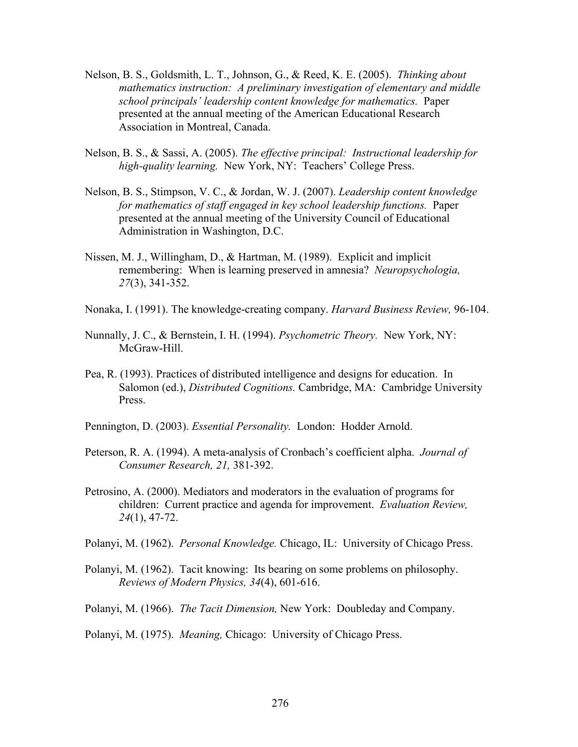- Nelson, B. S., Goldsmith, L. T., Johnson, G., & Reed, K. E. (2005). *Thinking about mathematics instruction: A preliminary investigation of elementary and middle school principals' leadership content knowledge for mathematics.* Paper presented at the annual meeting of the American Educational Research Association in Montreal, Canada.
- Nelson, B. S., & Sassi, A. (2005). *The effective principal: Instructional leadership for high-quality learning.* New York, NY: Teachers' College Press.
- Nelson, B. S., Stimpson, V. C., & Jordan, W. J. (2007). *Leadership content knowledge for mathematics of staff engaged in key school leadership functions.* Paper presented at the annual meeting of the University Council of Educational Administration in Washington, D.C.
- Nissen, M. J., Willingham, D., & Hartman, M. (1989). Explicit and implicit remembering: When is learning preserved in amnesia? *Neuropsychologia, 27*(3), 341-352.
- Nonaka, I. (1991). The knowledge-creating company. *Harvard Business Review,* 96-104.
- Nunnally, J. C., & Bernstein, I. H. (1994). *Psychometric Theory.* New York, NY: McGraw-Hill.
- Pea, R. (1993). Practices of distributed intelligence and designs for education. In Salomon (ed.), *Distributed Cognitions.* Cambridge, MA: Cambridge University Press.
- Pennington, D. (2003). *Essential Personality.* London: Hodder Arnold.
- Peterson, R. A. (1994). A meta-analysis of Cronbach's coefficient alpha. *Journal of Consumer Research, 21,* 381-392.
- Petrosino, A. (2000). Mediators and moderators in the evaluation of programs for children: Current practice and agenda for improvement. *Evaluation Review, 24*(1), 47-72.
- Polanyi, M. (1962). *Personal Knowledge.* Chicago, IL: University of Chicago Press.
- Polanyi, M. (1962). Tacit knowing: Its bearing on some problems on philosophy. *Reviews of Modern Physics, 34*(4), 601-616.
- Polanyi, M. (1966). *The Tacit Dimension,* New York: Doubleday and Company.

Polanyi, M. (1975). *Meaning,* Chicago: University of Chicago Press.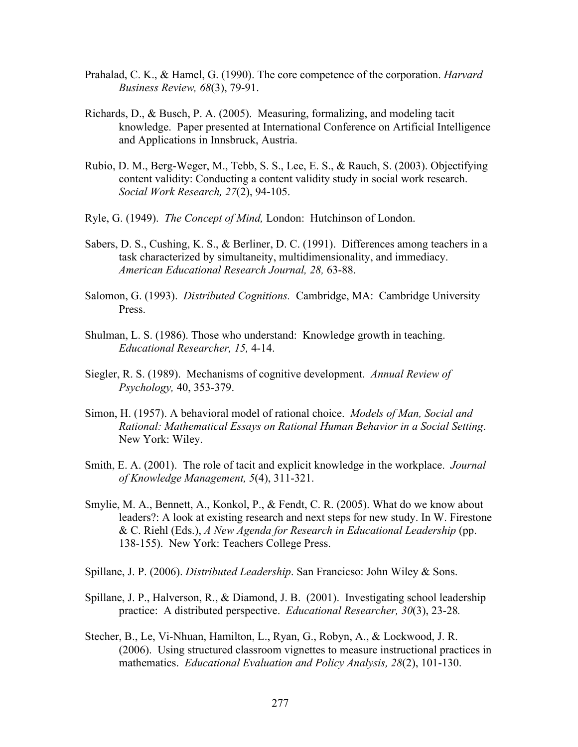- Prahalad, C. K., & Hamel, G. (1990). The core competence of the corporation. *Harvard Business Review, 68*(3), 79-91.
- Richards, D., & Busch, P. A. (2005). Measuring, formalizing, and modeling tacit knowledge. Paper presented at International Conference on Artificial Intelligence and Applications in Innsbruck, Austria.
- Rubio, D. M., Berg-Weger, M., Tebb, S. S., Lee, E. S., & Rauch, S. (2003). Objectifying content validity: Conducting a content validity study in social work research. *Social Work Research, 27*(2), 94-105.
- Ryle, G. (1949). *The Concept of Mind,* London: Hutchinson of London.
- Sabers, D. S., Cushing, K. S., & Berliner, D. C. (1991). Differences among teachers in a task characterized by simultaneity, multidimensionality, and immediacy. *American Educational Research Journal, 28,* 63-88.
- Salomon, G. (1993). *Distributed Cognitions.* Cambridge, MA: Cambridge University Press.
- Shulman, L. S. (1986). Those who understand: Knowledge growth in teaching. *Educational Researcher, 15,* 4-14.
- Siegler, R. S. (1989). Mechanisms of cognitive development. *Annual Review of Psychology,* 40, 353-379.
- Simon, H. (1957). A behavioral model of rational choice. *Models of Man, Social and Rational: Mathematical Essays on Rational Human Behavior in a Social Setting*. New York: Wiley.
- Smith, E. A. (2001). The role of tacit and explicit knowledge in the workplace. *Journal of Knowledge Management, 5*(4), 311-321.
- Smylie, M. A., Bennett, A., Konkol, P., & Fendt, C. R. (2005). What do we know about leaders?: A look at existing research and next steps for new study. In W. Firestone & C. Riehl (Eds.), *A New Agenda for Research in Educational Leadership* (pp. 138-155). New York: Teachers College Press.
- Spillane, J. P. (2006). *Distributed Leadership*. San Francicso: John Wiley & Sons.
- Spillane, J. P., Halverson, R., & Diamond, J. B. (2001). Investigating school leadership practice: A distributed perspective. *Educational Researcher, 30*(3), 23-28*.*
- Stecher, B., Le, Vi-Nhuan, Hamilton, L., Ryan, G., Robyn, A., & Lockwood, J. R. (2006). Using structured classroom vignettes to measure instructional practices in mathematics. *Educational Evaluation and Policy Analysis, 28*(2), 101-130.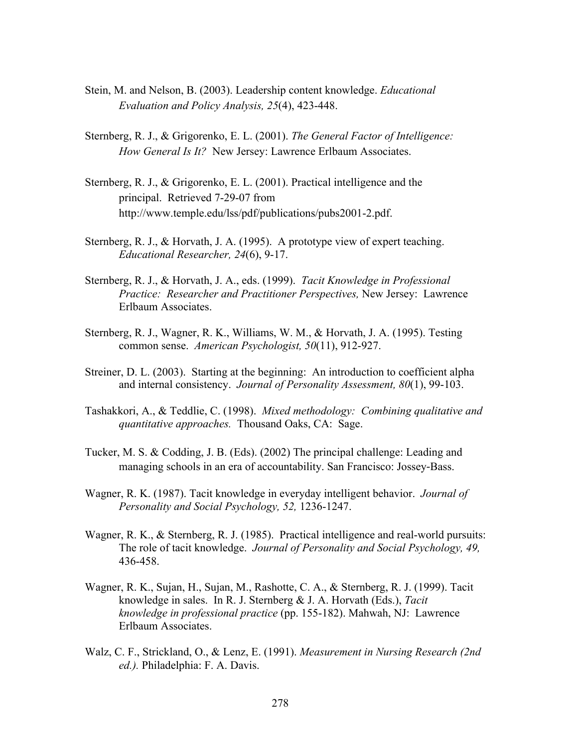- Stein, M. and Nelson, B. (2003). Leadership content knowledge. *Educational Evaluation and Policy Analysis, 25*(4), 423-448.
- Sternberg, R. J., & Grigorenko, E. L. (2001). *The General Factor of Intelligence: How General Is It?* New Jersey: Lawrence Erlbaum Associates.
- Sternberg, R. J., & Grigorenko, E. L. (2001). Practical intelligence and the principal. Retrieved 7-29-07 from http://www.temple.edu/lss/pdf/publications/pubs2001-2.pdf.
- Sternberg, R. J., & Horvath, J. A. (1995). A prototype view of expert teaching. *Educational Researcher, 24*(6), 9-17.
- Sternberg, R. J., & Horvath, J. A., eds. (1999). *Tacit Knowledge in Professional Practice: Researcher and Practitioner Perspectives,* New Jersey: Lawrence Erlbaum Associates.
- Sternberg, R. J., Wagner, R. K., Williams, W. M., & Horvath, J. A. (1995). Testing common sense. *American Psychologist, 50*(11), 912-927.
- Streiner, D. L. (2003). Starting at the beginning: An introduction to coefficient alpha and internal consistency. *Journal of Personality Assessment, 80*(1), 99-103.
- Tashakkori, A., & Teddlie, C. (1998). *Mixed methodology: Combining qualitative and quantitative approaches.* Thousand Oaks, CA: Sage.
- Tucker, M. S. & Codding, J. B. (Eds). (2002) The principal challenge: Leading and managing schools in an era of accountability. San Francisco: Jossey-Bass.
- Wagner, R. K. (1987). Tacit knowledge in everyday intelligent behavior. *Journal of Personality and Social Psychology, 52,* 1236-1247.
- Wagner, R. K., & Sternberg, R. J. (1985). Practical intelligence and real-world pursuits: The role of tacit knowledge. *Journal of Personality and Social Psychology, 49,* 436-458.
- Wagner, R. K., Sujan, H., Sujan, M., Rashotte, C. A., & Sternberg, R. J. (1999). Tacit knowledge in sales. In R. J. Sternberg & J. A. Horvath (Eds.), *Tacit knowledge in professional practice* (pp. 155-182). Mahwah, NJ: Lawrence Erlbaum Associates.
- Walz, C. F., Strickland, O., & Lenz, E. (1991). *Measurement in Nursing Research (2nd ed.).* Philadelphia: F. A. Davis.